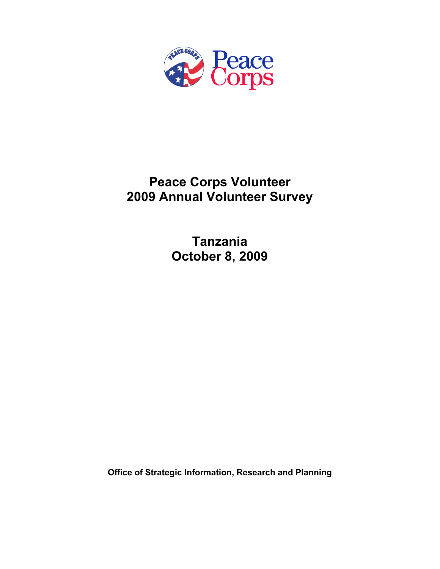

# **Peace Corps Volunteer 2009 Annual Volunteer Survey**

**Tanzania October 8, 2009** 

**Office of Strategic Information, Research and Planning**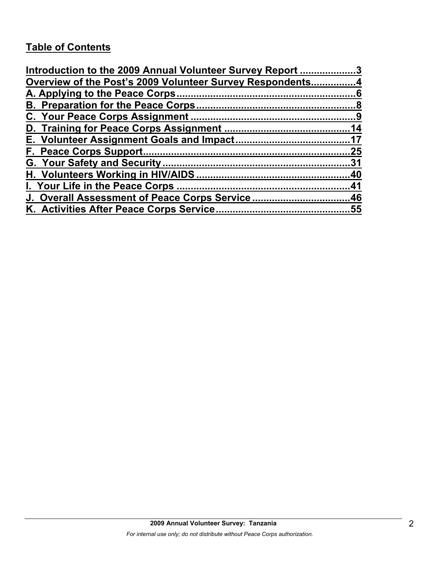# **Table of Contents**

| Introduction to the 2009 Annual Volunteer Survey Report 3 |     |
|-----------------------------------------------------------|-----|
| Overview of the Post's 2009 Volunteer Survey Respondents4 |     |
|                                                           |     |
|                                                           |     |
|                                                           |     |
|                                                           |     |
|                                                           |     |
|                                                           | .25 |
|                                                           |     |
|                                                           |     |
|                                                           |     |
| J. Overall Assessment of Peace Corps Service46            |     |
|                                                           |     |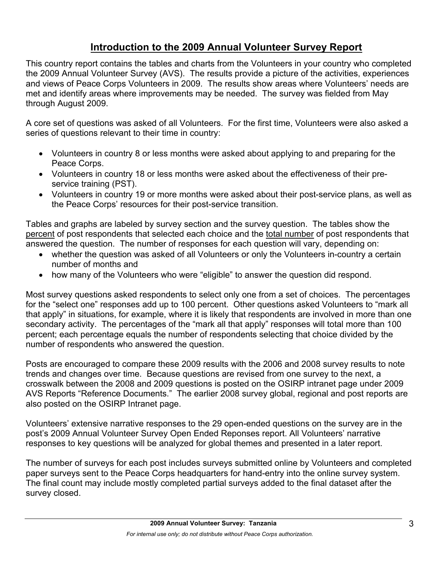# **Introduction to the 2009 Annual Volunteer Survey Report**

This country report contains the tables and charts from the Volunteers in your country who completed the 2009 Annual Volunteer Survey (AVS). The results provide a picture of the activities, experiences and views of Peace Corps Volunteers in 2009. The results show areas where Volunteers' needs are met and identify areas where improvements may be needed. The survey was fielded from May through August 2009.

A core set of questions was asked of all Volunteers. For the first time, Volunteers were also asked a series of questions relevant to their time in country:

- Volunteers in country 8 or less months were asked about applying to and preparing for the Peace Corps.
- Volunteers in country 18 or less months were asked about the effectiveness of their preservice training (PST).
- Volunteers in country 19 or more months were asked about their post-service plans, as well as the Peace Corps' resources for their post-service transition.

Tables and graphs are labeled by survey section and the survey question. The tables show the percent of post respondents that selected each choice and the total number of post respondents that answered the question. The number of responses for each question will vary, depending on:

- whether the question was asked of all Volunteers or only the Volunteers in-country a certain number of months and
- how many of the Volunteers who were "eligible" to answer the question did respond.

Most survey questions asked respondents to select only one from a set of choices. The percentages for the "select one" responses add up to 100 percent. Other questions asked Volunteers to "mark all that apply" in situations, for example, where it is likely that respondents are involved in more than one secondary activity. The percentages of the "mark all that apply" responses will total more than 100 percent; each percentage equals the number of respondents selecting that choice divided by the number of respondents who answered the question.

Posts are encouraged to compare these 2009 results with the 2006 and 2008 survey results to note trends and changes over time. Because questions are revised from one survey to the next, a crosswalk between the 2008 and 2009 questions is posted on the OSIRP intranet page under 2009 AVS Reports "Reference Documents." The earlier 2008 survey global, regional and post reports are also posted on the OSIRP Intranet page.

Volunteers' extensive narrative responses to the 29 open-ended questions on the survey are in the post's 2009 Annual Volunteer Survey Open Ended Reponses report. All Volunteers' narrative responses to key questions will be analyzed for global themes and presented in a later report.

The number of surveys for each post includes surveys submitted online by Volunteers and completed paper surveys sent to the Peace Corps headquarters for hand-entry into the online survey system. The final count may include mostly completed partial surveys added to the final dataset after the survey closed.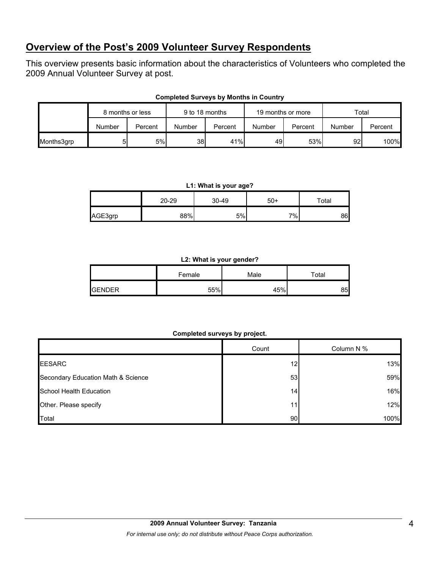## **Overview of the Post's 2009 Volunteer Survey Respondents**

This overview presents basic information about the characteristics of Volunteers who completed the 2009 Annual Volunteer Survey at post.

|            | 8 months or less |         | 9 to 18 months |         | 19 months or more |         | Total  |         |
|------------|------------------|---------|----------------|---------|-------------------|---------|--------|---------|
|            | Number           | Percent | Number         | Percent | Number            | Percent | Number | Percent |
| Months3grp |                  | 5%      | 38             | 41%     | 49                | 53%     | 92     | 100%    |

#### **Completed Surveys by Months in Country**

#### **L1: What is your age?**

|         | 20-29 | 30-49 | $50+$ | ™ota⊩ |
|---------|-------|-------|-------|-------|
| AGE3grp | 88%   | 5%    | $7\%$ | 86    |

#### **L2: What is your gender?**

|               | Female | Male | $\tau$ otal |
|---------------|--------|------|-------------|
| <b>GENDER</b> | 55%    | 45%  | 85          |

#### **Completed surveys by project.**

|                                    | Count | Column N % |
|------------------------------------|-------|------------|
| <b>EESARC</b>                      | 12    | 13%        |
| Secondary Education Math & Science | 53    | 59%        |
| School Health Education            | 14    | 16%        |
| Other. Please specify              | 11    | 12%        |
| Total                              | 90    | 100%       |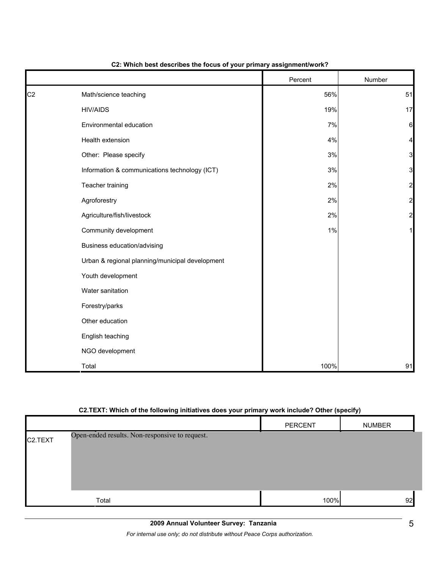|                |                                                 | Percent | Number         |
|----------------|-------------------------------------------------|---------|----------------|
| C <sub>2</sub> | Math/science teaching                           | 56%     | 51             |
|                | <b>HIV/AIDS</b>                                 | 19%     | 17             |
|                | Environmental education                         | 7%      | 6              |
|                | Health extension                                | $4\%$   | 4              |
|                | Other: Please specify                           | $3%$    | 3              |
|                | Information & communications technology (ICT)   | $3%$    | 3              |
|                | Teacher training                                | 2%      | 2              |
|                | Agroforestry                                    | 2%      | $\overline{a}$ |
|                | Agriculture/fish/livestock                      | 2%      | $\overline{a}$ |
|                | Community development                           | 1%      |                |
|                | Business education/advising                     |         |                |
|                | Urban & regional planning/municipal development |         |                |
|                | Youth development                               |         |                |
|                | Water sanitation                                |         |                |
|                | Forestry/parks                                  |         |                |
|                | Other education                                 |         |                |
|                | English teaching                                |         |                |
|                | NGO development                                 |         |                |
|                | Total                                           | 100%    | 91             |

#### **C2: Which best describes the focus of your primary assignment/work?**

#### **C2.TEXT: Which of the following initiatives does your primary work include? Other (specify)**

|                      |                                                | PERCENT | <b>NUMBER</b> |
|----------------------|------------------------------------------------|---------|---------------|
| C <sub>2</sub> .TEXT | Open-ended results. Non-responsive to request. |         |               |
|                      | Total                                          | 100%    | 92            |

*For internal use only; do not distribute without Peace Corps authorization.*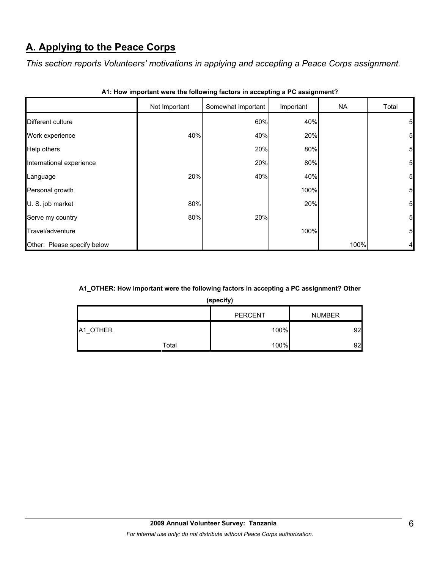# **A. Applying to the Peace Corps**

*This section reports Volunteers' motivations in applying and accepting a Peace Corps assignment.* 

|                             | Not Important | Somewhat important | Important | <b>NA</b> | Total           |
|-----------------------------|---------------|--------------------|-----------|-----------|-----------------|
| Different culture           |               | 60%                | 40%       |           | $5\overline{)}$ |
| Work experience             | 40%           | 40%                | 20%       |           | $5\overline{a}$ |
| Help others                 |               | 20%                | 80%       |           | $5\overline{a}$ |
| International experience    |               | 20%                | 80%       |           | $5\overline{a}$ |
| Language                    | 20%           | 40%                | 40%       |           | 5 <sub>l</sub>  |
| Personal growth             |               |                    | 100%      |           | $5\overline{a}$ |
| U. S. job market            | 80%           |                    | 20%       |           | $5\overline{a}$ |
| Serve my country            | 80%           | 20%                |           |           | $5\overline{a}$ |
| Travel/adventure            |               |                    | 100%      |           | $5\overline{a}$ |
| Other: Please specify below |               |                    |           | 100%      | 4               |

| A1: How important were the following factors in accepting a PC assignment? |  |
|----------------------------------------------------------------------------|--|
|----------------------------------------------------------------------------|--|

#### **A1\_OTHER: How important were the following factors in accepting a PC assignment? Other**

**(specify)**

|          |       | <b>PERCENT</b> | <b>NUMBER</b> |
|----------|-------|----------------|---------------|
| A1 OTHER |       | 100%           | 92            |
|          | Total | 100%           | 92            |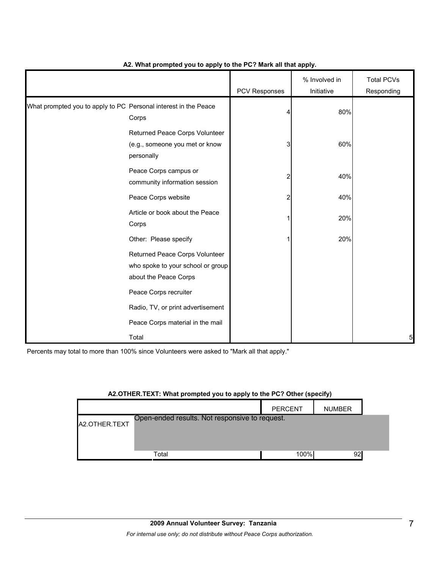|                                                                 |                                                                                              | PCV Responses | % Involved in<br>Initiative | <b>Total PCVs</b><br>Responding |
|-----------------------------------------------------------------|----------------------------------------------------------------------------------------------|---------------|-----------------------------|---------------------------------|
| What prompted you to apply to PC Personal interest in the Peace | Corps                                                                                        |               | 80%                         |                                 |
|                                                                 | Returned Peace Corps Volunteer<br>(e.g., someone you met or know<br>personally               | 3             | 60%                         |                                 |
|                                                                 | Peace Corps campus or<br>community information session                                       | 2             | 40%                         |                                 |
|                                                                 | Peace Corps website                                                                          | 2             | 40%                         |                                 |
|                                                                 | Article or book about the Peace<br>Corps                                                     |               | 20%                         |                                 |
|                                                                 | Other: Please specify                                                                        |               | 20%                         |                                 |
|                                                                 | Returned Peace Corps Volunteer<br>who spoke to your school or group<br>about the Peace Corps |               |                             |                                 |
|                                                                 | Peace Corps recruiter                                                                        |               |                             |                                 |
|                                                                 | Radio, TV, or print advertisement                                                            |               |                             |                                 |
|                                                                 | Peace Corps material in the mail                                                             |               |                             |                                 |
|                                                                 | Total                                                                                        |               |                             | 5                               |

#### **A2. What prompted you to apply to the PC? Mark all that apply.**

Percents may total to more than 100% since Volunteers were asked to "Mark all that apply."

#### **A2.OTHER.TEXT: What prompted you to apply to the PC? Other (specify)**

|               |                                                | <b>PERCENT</b> | <b>NUMBER</b> |  |
|---------------|------------------------------------------------|----------------|---------------|--|
| A2.OTHER.TEXT | Open-ended results. Not responsive to request. |                |               |  |
|               |                                                |                |               |  |
|               | Total                                          | 100%           | 92            |  |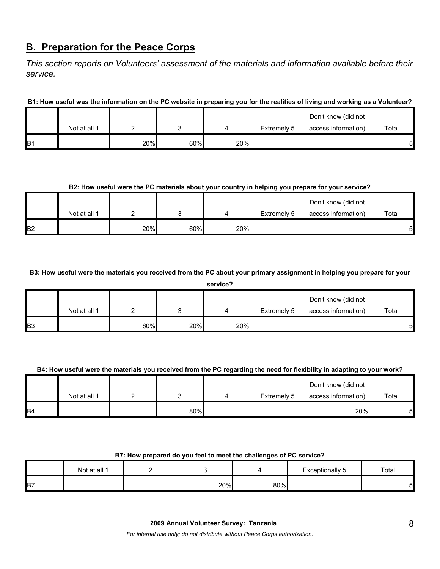### **B. Preparation for the Peace Corps**

*This section reports on Volunteers' assessment of the materials and information available before their service.* 

**B1: How useful was the information on the PC website in preparing you for the realities of living and working as a Volunteer?**

|                 |              |     |     |     |             | Don't know (did not |       |
|-----------------|--------------|-----|-----|-----|-------------|---------------------|-------|
|                 | Not at all 1 |     |     |     | Extremely 5 | access information) | Total |
| IB <sub>1</sub> |              | 20% | 60% | 20% |             |                     | 5     |

#### **B2: How useful were the PC materials about your country in helping you prepare for your service?**

|                |              |     |     |     |             | Don't know (did not |       |
|----------------|--------------|-----|-----|-----|-------------|---------------------|-------|
|                | Not at all 1 |     |     |     | Extremely 5 | access information) | Total |
| B <sub>2</sub> |              | 20% | 60% | 20% |             |                     | 5     |

**B3: How useful were the materials you received from the PC about your primary assignment in helping you prepare for your** 

|                | service?     |     |     |     |             |                     |       |  |  |
|----------------|--------------|-----|-----|-----|-------------|---------------------|-------|--|--|
|                |              |     |     |     |             | Don't know (did not |       |  |  |
|                | Not at all 1 |     |     |     | Extremely 5 | access information) | Total |  |  |
| B <sub>3</sub> |              | 60% | 20% | 20% |             |                     | 51    |  |  |

#### **B4: How useful were the materials you received from the PC regarding the need for flexibility in adapting to your work?**

|                |              |     |             | Don't know (did not |       |
|----------------|--------------|-----|-------------|---------------------|-------|
|                | Not at all 1 |     | Extremely 5 | access information) | Total |
| B <sub>4</sub> |              | 80% |             | 20%                 | 5     |

#### **B7: How prepared do you feel to meet the challenges of PC service?**

|                | Not at all 1 |     |     | Exceptionally<br>ັ | Total |
|----------------|--------------|-----|-----|--------------------|-------|
| B <sub>7</sub> |              | 20% | 80% |                    | 5     |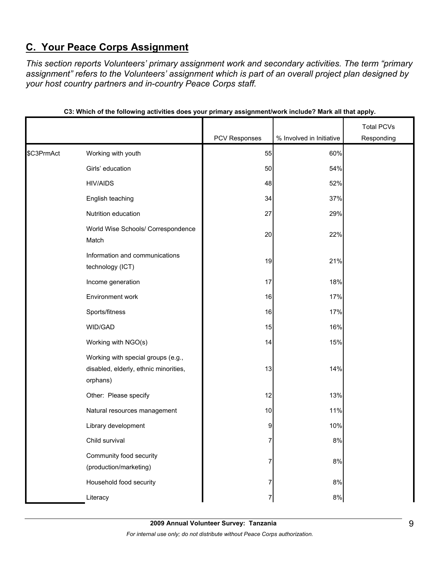# **C. Your Peace Corps Assignment**

*This section reports Volunteers' primary assignment work and secondary activities. The term "primary assignment" refers to the Volunteers' assignment which is part of an overall project plan designed by your host country partners and in-country Peace Corps staff.* 

|            |                                                                                         |               |                          | <b>Total PCVs</b> |
|------------|-----------------------------------------------------------------------------------------|---------------|--------------------------|-------------------|
|            |                                                                                         | PCV Responses | % Involved in Initiative | Responding        |
| \$C3PrmAct | Working with youth                                                                      | 55            | 60%                      |                   |
|            | Girls' education                                                                        | 50            | 54%                      |                   |
|            | <b>HIV/AIDS</b>                                                                         | 48            | 52%                      |                   |
|            | English teaching                                                                        | 34            | 37%                      |                   |
|            | Nutrition education                                                                     | 27            | 29%                      |                   |
|            | World Wise Schools/ Correspondence<br>Match                                             | 20            | 22%                      |                   |
|            | Information and communications<br>technology (ICT)                                      | 19            | 21%                      |                   |
|            | Income generation                                                                       | 17            | 18%                      |                   |
|            | Environment work                                                                        | 16            | 17%                      |                   |
|            | Sports/fitness                                                                          | 16            | 17%                      |                   |
|            | WID/GAD                                                                                 | 15            | 16%                      |                   |
|            | Working with NGO(s)                                                                     | 14            | 15%                      |                   |
|            | Working with special groups (e.g.,<br>disabled, elderly, ethnic minorities,<br>orphans) | 13            | 14%                      |                   |
|            | Other: Please specify                                                                   | 12            | 13%                      |                   |
|            | Natural resources management                                                            | 10            | 11%                      |                   |
|            | Library development                                                                     | 9             | 10%                      |                   |
|            | Child survival                                                                          | ſ             | 8%                       |                   |
|            | Community food security<br>(production/marketing)                                       | 7             | $8\%$                    |                   |
|            | Household food security                                                                 | 7             | $8\%$                    |                   |
|            | Literacy                                                                                | 7             | $8\%$                    |                   |

|  |  | C3: Which of the following activities does your primary assignment/work include? Mark all that apply. |
|--|--|-------------------------------------------------------------------------------------------------------|
|  |  |                                                                                                       |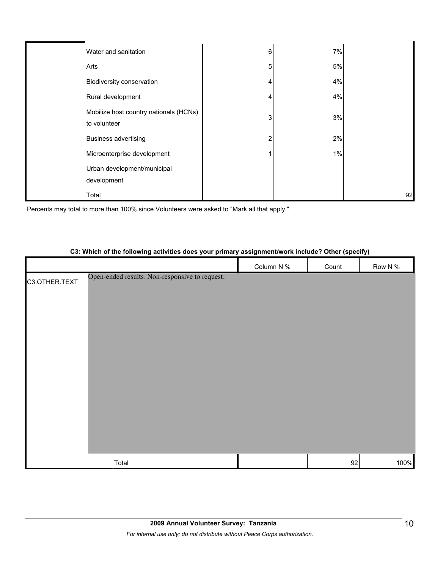| Water and sanitation                                   | 6 | 7%   |    |
|--------------------------------------------------------|---|------|----|
| Arts                                                   | 5 | $5%$ |    |
| Biodiversity conservation                              |   | 4%   |    |
| Rural development                                      |   | 4%   |    |
| Mobilize host country nationals (HCNs)<br>to volunteer | 3 | 3%   |    |
| <b>Business advertising</b>                            |   | 2%   |    |
| Microenterprise development                            |   | 1%   |    |
| Urban development/municipal<br>development             |   |      |    |
| Total                                                  |   |      | 92 |

Percents may total to more than 100% since Volunteers were asked to "Mark all that apply."

# Column N % Count Row N % C3.OTHER.TEXT  $\sf Total$  100% and the contract of the contract of the contract of the contract of the contract of the contract of the contract of the contract of the contract of the contract of the contract of the contract of the contract o Open-ended results. Non-responsive to request.

#### **C3: Which of the following activities does your primary assignment/work include? Other (specify)**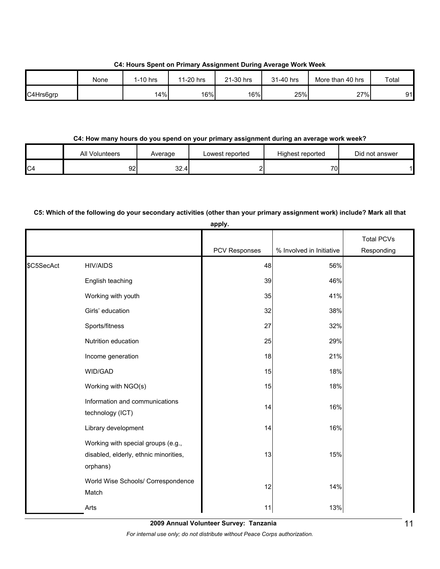**C4: Hours Spent on Primary Assignment During Average Work Week**

|           | None | I-10 hrs | 11-20 hrs | 21-30 hrs | 31-40 hrs | More than 40 hrs | Total |
|-----------|------|----------|-----------|-----------|-----------|------------------|-------|
| C4Hrs6grp |      | 14%      | 16%       | 16%       | 25%       | 27%              | 91    |

#### **C4: How many hours do you spend on your primary assignment during an average work week?**

|                | <b>All Volunteers</b> | Average | ∟owest reported | Highest reported | Did not answer |
|----------------|-----------------------|---------|-----------------|------------------|----------------|
| C <sub>4</sub> | 92                    | 32.4    |                 | 70.              |                |

#### **C5: Which of the following do your secondary activities (other than your primary assignment work) include? Mark all that**

|            |                                                                                         | apply.        |                          |                                 |
|------------|-----------------------------------------------------------------------------------------|---------------|--------------------------|---------------------------------|
|            |                                                                                         | PCV Responses | % Involved in Initiative | <b>Total PCVs</b><br>Responding |
| \$C5SecAct | <b>HIV/AIDS</b>                                                                         | 48            | 56%                      |                                 |
|            | English teaching                                                                        | 39            | 46%                      |                                 |
|            | Working with youth                                                                      | 35            | 41%                      |                                 |
|            | Girls' education                                                                        | 32            | 38%                      |                                 |
|            | Sports/fitness                                                                          | 27            | 32%                      |                                 |
|            | Nutrition education                                                                     | 25            | 29%                      |                                 |
|            | Income generation                                                                       | 18            | 21%                      |                                 |
|            | WID/GAD                                                                                 | 15            | 18%                      |                                 |
|            | Working with NGO(s)                                                                     | 15            | 18%                      |                                 |
|            | Information and communications<br>technology (ICT)                                      | 14            | 16%                      |                                 |
|            | Library development                                                                     | 14            | 16%                      |                                 |
|            | Working with special groups (e.g.,<br>disabled, elderly, ethnic minorities,<br>orphans) | 13            | 15%                      |                                 |
|            | World Wise Schools/ Correspondence<br>Match                                             | 12            | 14%                      |                                 |
|            | Arts                                                                                    | 11            | 13%                      |                                 |

**2009 Annual Volunteer Survey: Tanzania** 

*For internal use only; do not distribute without Peace Corps authorization.*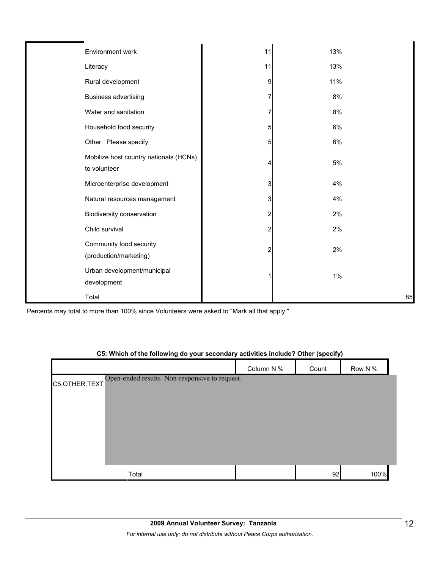| Environment work                                       | 11 | 13%  |    |
|--------------------------------------------------------|----|------|----|
| Literacy                                               | 11 | 13%  |    |
| Rural development                                      | 9  | 11%  |    |
| <b>Business advertising</b>                            |    | 8%   |    |
| Water and sanitation                                   |    | 8%   |    |
| Household food security                                | 5  | 6%   |    |
| Other: Please specify                                  | 5  | 6%   |    |
| Mobilize host country nationals (HCNs)<br>to volunteer | Δ  | $5%$ |    |
| Microenterprise development                            | 3  | 4%   |    |
| Natural resources management                           | 3  | 4%   |    |
| Biodiversity conservation                              | 2  | 2%   |    |
| Child survival                                         | 2  | 2%   |    |
| Community food security<br>(production/marketing)      | 2  | 2%   |    |
| Urban development/municipal<br>development             |    | 1%   |    |
| Total                                                  |    |      | 85 |

Percents may total to more than 100% since Volunteers were asked to "Mark all that apply."

#### **C5: Which of the following do your secondary activities include? Other (specify)**

|                                                              | Column N % | Count | Row N % |
|--------------------------------------------------------------|------------|-------|---------|
| C5.OTHER.TEXT Open-ended results. Non-responsive to request. |            |       |         |
|                                                              |            |       |         |
|                                                              |            |       |         |
|                                                              |            |       |         |
|                                                              |            |       |         |
|                                                              |            |       |         |
| Total                                                        |            | 92    | 100%    |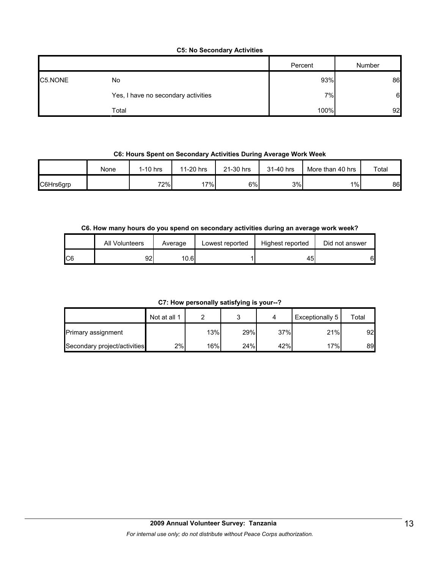#### **C5: No Secondary Activities**

|         |                                     | Percent | Number           |
|---------|-------------------------------------|---------|------------------|
| C5.NONE | No                                  | 93%     | 86               |
|         | Yes, I have no secondary activities | 7%      | $6 \blacksquare$ |
|         | Total                               | 100%    | 92               |

#### **C6: Hours Spent on Secondary Activities During Average Work Week**

|           | None | 1-10 hrs | 11-20 hrs | 21-30 hrs | 31-40 hrs | More than 40 hrs | Total |
|-----------|------|----------|-----------|-----------|-----------|------------------|-------|
| C6Hrs6grp |      | 72%      | 17%       | 6%        | 3%        | $1\%$            | 86    |

#### **C6. How many hours do you spend on secondary activities during an average work week?**

|     | All Volunteers | Average | Lowest reported | Highest reported | Did not answer |
|-----|----------------|---------|-----------------|------------------|----------------|
| IC6 | 92             | 10.61   |                 | 45               | 61             |

**C7: How personally satisfying is your--?**

|                              | Not at all 1 |     |     |     | Exceptionally 5 | Total |
|------------------------------|--------------|-----|-----|-----|-----------------|-------|
| Primary assignment           |              | 13% | 29% | 37% | 21%             | 92    |
| Secondary project/activities | 2%           | 16% | 24% | 42% | 17%             | 89    |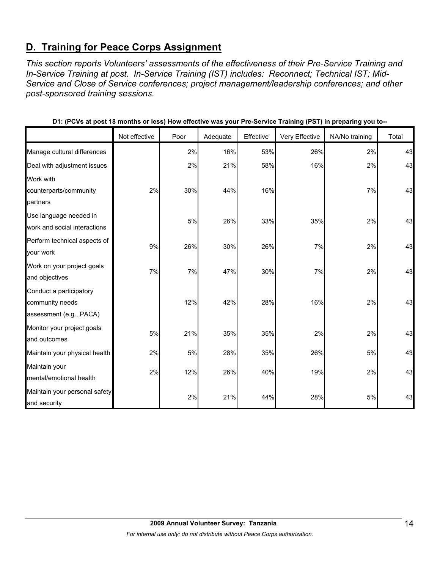# **D. Training for Peace Corps Assignment**

*This section reports Volunteers' assessments of the effectiveness of their Pre-Service Training and In-Service Training at post. In-Service Training (IST) includes: Reconnect; Technical IST; Mid-Service and Close of Service conferences; project management/leadership conferences; and other post-sponsored training sessions.* 

|                                                                       | Not effective | Poor | Adequate | Effective | Very Effective | NA/No training | Total |
|-----------------------------------------------------------------------|---------------|------|----------|-----------|----------------|----------------|-------|
| Manage cultural differences                                           |               | 2%   | 16%      | 53%       | 26%            | 2%             | 43    |
| Deal with adjustment issues                                           |               | 2%   | 21%      | 58%       | 16%            | 2%             | 43    |
| Work with<br>counterparts/community<br>partners                       | 2%            | 30%  | 44%      | 16%       |                | 7%             | 43    |
| Use language needed in<br>work and social interactions                |               | 5%   | 26%      | 33%       | 35%            | 2%             | 43    |
| Perform technical aspects of<br>your work                             | 9%            | 26%  | 30%      | 26%       | 7%             | 2%             | 43    |
| Work on your project goals<br>and objectives                          | 7%            | 7%   | 47%      | 30%       | 7%             | 2%             | 43    |
| Conduct a participatory<br>community needs<br>assessment (e.g., PACA) |               | 12%  | 42%      | 28%       | 16%            | 2%             | 43    |
| Monitor your project goals<br>and outcomes                            | 5%            | 21%  | 35%      | 35%       | 2%             | 2%             | 43    |
| Maintain your physical health                                         | 2%            | 5%   | 28%      | 35%       | 26%            | 5%             | 43    |
| Maintain your<br>mental/emotional health                              | 2%            | 12%  | 26%      | 40%       | 19%            | 2%             | 43    |
| Maintain your personal safety<br>and security                         |               | 2%   | 21%      | 44%       | 28%            | 5%             | 43    |

**D1: (PCVs at post 18 months or less) How effective was your Pre-Service Training (PST) in preparing you to--**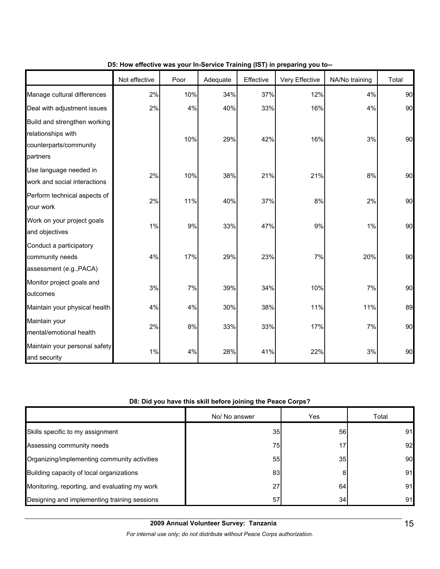|                                                                                          | Not effective | Poor | Adequate | Effective | Very Effective | NA/No training | Total |
|------------------------------------------------------------------------------------------|---------------|------|----------|-----------|----------------|----------------|-------|
| Manage cultural differences                                                              | 2%            | 10%  | 34%      | 37%       | 12%            | 4%             | 90    |
| Deal with adjustment issues                                                              | 2%            | 4%   | 40%      | 33%       | 16%            | 4%             | 90    |
| Build and strengthen working<br>relationships with<br>counterparts/community<br>partners |               | 10%  | 29%      | 42%       | 16%            | 3%             | 90    |
| Use language needed in<br>work and social interactions                                   | 2%            | 10%  | 38%      | 21%       | 21%            | 8%             | 90    |
| Perform technical aspects of<br>your work                                                | 2%            | 11%  | 40%      | 37%       | 8%             | 2%             | 90    |
| Work on your project goals<br>and objectives                                             | 1%            | 9%   | 33%      | 47%       | 9%             | 1%             | 90    |
| Conduct a participatory<br>community needs<br>assessment (e.g., PACA)                    | 4%            | 17%  | 29%      | 23%       | 7%             | 20%            | 90    |
| Monitor project goals and<br>outcomes                                                    | 3%            | 7%   | 39%      | 34%       | 10%            | 7%             | 90    |
| Maintain your physical health                                                            | 4%            | 4%   | 30%      | 38%       | 11%            | 11%            | 89    |
| Maintain your<br>mental/emotional health                                                 | 2%            | 8%   | 33%      | 33%       | 17%            | 7%             | 90    |
| Maintain your personal safety<br>and security                                            | 1%            | 4%   | 28%      | 41%       | 22%            | 3%             | 90    |

#### **D5: How effective was your In-Service Training (IST) in preparing you to--**

#### **D8: Did you have this skill before joining the Peace Corps?**

|                                               | No/ No answer | <b>Yes</b> | Total |
|-----------------------------------------------|---------------|------------|-------|
| Skills specific to my assignment              | 35            | 56         | 91    |
| Assessing community needs                     | 75            | 17.        | 92    |
| Organizing/implementing community activities  | 55            | 35         | 90    |
| Building capacity of local organizations      | 83            | 8          | 91    |
| Monitoring, reporting, and evaluating my work | 27            | 64         | 91    |
| Designing and implementing training sessions  | 57            | 34         | 91    |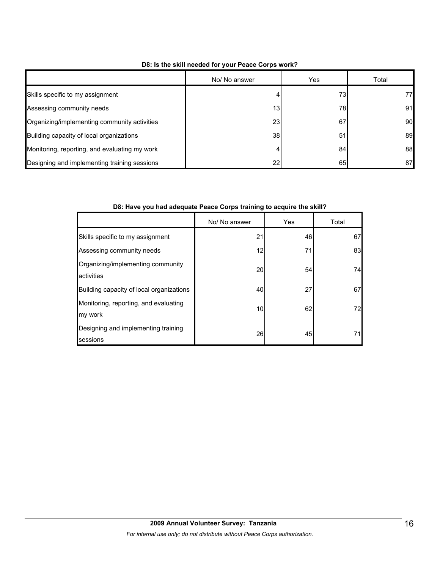|                                               | No/ No answer   | Yes | Total |
|-----------------------------------------------|-----------------|-----|-------|
| Skills specific to my assignment              |                 | 73  | 77    |
| Assessing community needs                     | 13              | 78  | 91    |
| Organizing/implementing community activities  | 23 <sub>l</sub> | 67  | 90    |
| Building capacity of local organizations      | 38              | 51  | 89    |
| Monitoring, reporting, and evaluating my work | 4               | 84  | 88    |
| Designing and implementing training sessions  | 22              | 65  | 87    |

#### **D8: Is the skill needed for your Peace Corps work?**

#### **D8: Have you had adequate Peace Corps training to acquire the skill?**

|                                                  | No/ No answer | Yes | Total |
|--------------------------------------------------|---------------|-----|-------|
| Skills specific to my assignment                 | 21            | 46  | 67    |
| Assessing community needs                        | 12            | 71  | 83    |
| Organizing/implementing community<br>activities  | 20            | 54  | 74    |
| Building capacity of local organizations         | 40            | 27  | 67    |
| Monitoring, reporting, and evaluating<br>my work | 10            | 62  | 72    |
| Designing and implementing training<br>sessions  | 26            | 45  | 71    |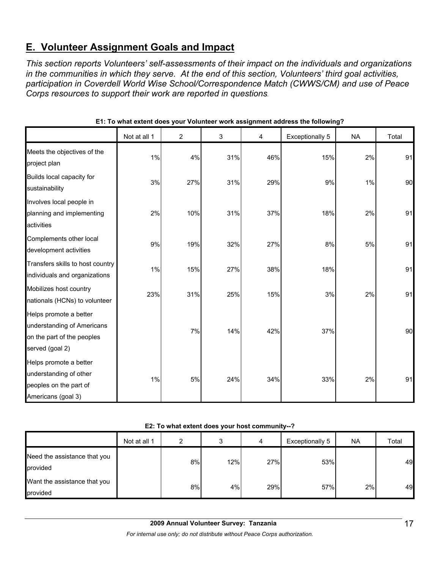# **E. Volunteer Assignment Goals and Impact**

*This section reports Volunteers' self-assessments of their impact on the individuals and organizations in the communities in which they serve. At the end of this section, Volunteers' third goal activities, participation in Coverdell World Wise School/Correspondence Match (CWWS/CM) and use of Peace Corps resources to support their work are reported in questions.* 

|                                                                                                       | Not at all 1 | $\overline{c}$ | 3   | 4   | <b>Exceptionally 5</b> | <b>NA</b> | Total |
|-------------------------------------------------------------------------------------------------------|--------------|----------------|-----|-----|------------------------|-----------|-------|
| Meets the objectives of the<br>project plan                                                           | 1%           | 4%             | 31% | 46% | 15%                    | 2%        | 91    |
| Builds local capacity for<br>sustainability                                                           | 3%           | 27%            | 31% | 29% | 9%                     | 1%        | 90    |
| Involves local people in<br>planning and implementing<br>activities                                   | 2%           | 10%            | 31% | 37% | 18%                    | 2%        | 91    |
| Complements other local<br>development activities                                                     | 9%           | 19%            | 32% | 27% | 8%                     | 5%        | 91    |
| Transfers skills to host country<br>individuals and organizations                                     | 1%           | 15%            | 27% | 38% | 18%                    |           | 91    |
| Mobilizes host country<br>nationals (HCNs) to volunteer                                               | 23%          | 31%            | 25% | 15% | 3%                     | 2%        | 91    |
| Helps promote a better<br>understanding of Americans<br>on the part of the peoples<br>served (goal 2) |              | 7%             | 14% | 42% | 37%                    |           | 90    |
| Helps promote a better<br>understanding of other<br>peoples on the part of<br>Americans (goal 3)      | 1%           | 5%             | 24% | 34% | 33%                    | 2%        | 91    |

**E1: To what extent does your Volunteer work assignment address the following?**

#### **E2: To what extent does your host community--?**

|                                          | Not at all 1 | ົ  | а.  | 4   | Exceptionally 5 | <b>NA</b> | Total |
|------------------------------------------|--------------|----|-----|-----|-----------------|-----------|-------|
| Need the assistance that you<br>provided |              | 8% | 12% | 27% | 53%             |           | 49    |
| Want the assistance that you<br>provided |              | 8% | 4%  | 29% | 57%             | 2%        | 49    |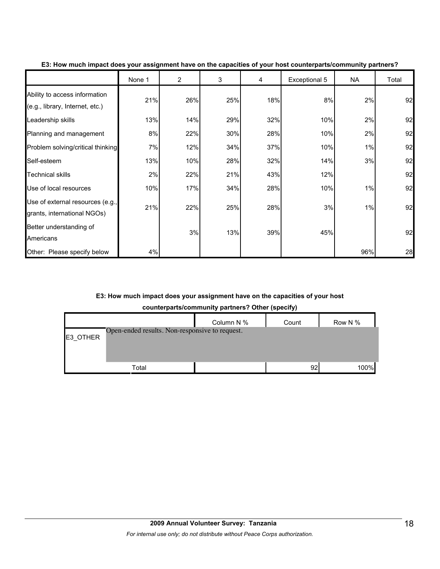|                                                                  | None 1 | $\overline{2}$ | 3   | 4   | Exceptional 5 | NA  | Total |
|------------------------------------------------------------------|--------|----------------|-----|-----|---------------|-----|-------|
| Ability to access information<br>(e.g., library, Internet, etc.) | 21%    | 26%            | 25% | 18% | 8%            | 2%  | 92    |
| Leadership skills                                                | 13%    | 14%            | 29% | 32% | 10%           | 2%  | 92    |
| Planning and management                                          | 8%     | 22%            | 30% | 28% | 10%           | 2%  | 92    |
| Problem solving/critical thinking                                | 7%     | 12%            | 34% | 37% | 10%           | 1%  | 92    |
| Self-esteem                                                      | 13%    | 10%            | 28% | 32% | 14%           | 3%  | 92    |
| <b>Technical skills</b>                                          | 2%     | 22%            | 21% | 43% | 12%           |     | 92    |
| Use of local resources                                           | 10%    | 17%            | 34% | 28% | 10%           | 1%  | 92    |
| Use of external resources (e.g.,<br>grants, international NGOs)  | 21%    | 22%            | 25% | 28% | 3%            | 1%  | 92    |
| Better understanding of<br>Americans                             |        | 3%             | 13% | 39% | 45%           |     | 92    |
| Other: Please specify below                                      | 4%     |                |     |     |               | 96% | 28    |

**E3: How much impact does your assignment have on the capacities of your host counterparts/community partners?**

#### **E3: How much impact does your assignment have on the capacities of your host**

| counterparts/community partners? Other (specify) |  |  |
|--------------------------------------------------|--|--|

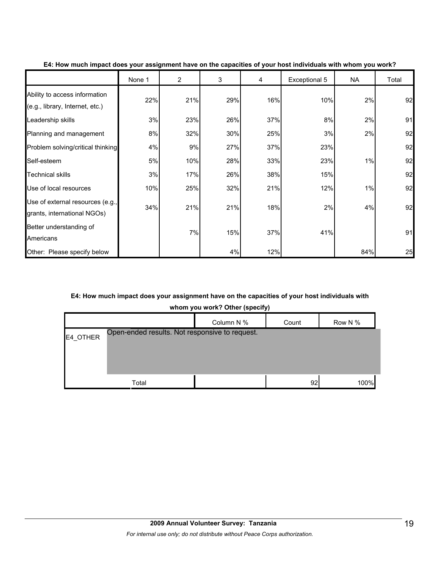|                                                                  | None 1 | $\overline{2}$ | 3   | 4   | Exceptional 5 | <b>NA</b> | Total |
|------------------------------------------------------------------|--------|----------------|-----|-----|---------------|-----------|-------|
| Ability to access information<br>(e.g., library, Internet, etc.) | 22%    | 21%            | 29% | 16% | 10%           | 2%        | 92    |
| Leadership skills                                                | 3%     | 23%            | 26% | 37% | 8%            | 2%        | 91    |
| Planning and management                                          | 8%     | 32%            | 30% | 25% | 3%            | 2%        | 92    |
| Problem solving/critical thinking                                | 4%     | 9%             | 27% | 37% | 23%           |           | 92    |
| Self-esteem                                                      | 5%     | 10%            | 28% | 33% | 23%           | 1%        | 92    |
| <b>Technical skills</b>                                          | 3%     | 17%            | 26% | 38% | 15%           |           | 92    |
| Use of local resources                                           | 10%    | 25%            | 32% | 21% | 12%           | 1%        | 92    |
| Use of external resources (e.g.,<br>grants, international NGOs)  | 34%    | 21%            | 21% | 18% | 2%            | 4%        | 92    |
| Better understanding of<br>Americans                             |        | 7%             | 15% | 37% | 41%           |           | 91    |
| Other: Please specify below                                      |        |                | 4%  | 12% |               | 84%       | 25    |

#### **E4: How much impact does your assignment have on the capacities of your host individuals with whom you work?**

#### **E4: How much impact does your assignment have on the capacities of your host individuals with**

**whom you work? Other (specify)**

|          |                                                | Column N % | Count | Row N % |
|----------|------------------------------------------------|------------|-------|---------|
| E4_OTHER | Open-ended results. Not responsive to request. |            |       |         |
|          |                                                |            |       |         |
|          |                                                |            |       |         |
|          | Total                                          |            | 92    | 100%    |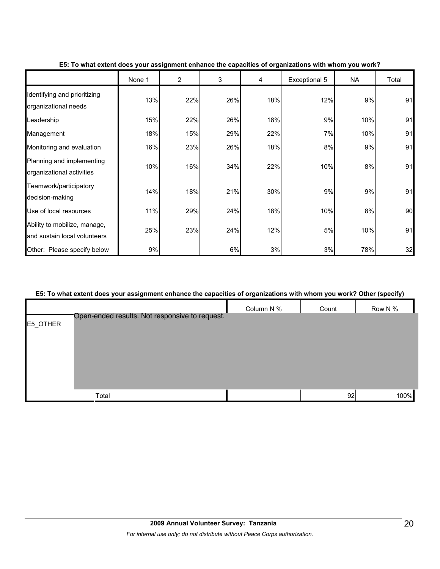|                                                              | None 1 | $\overline{2}$ | 3   | 4   | Exceptional 5 | <b>NA</b> | Total |
|--------------------------------------------------------------|--------|----------------|-----|-----|---------------|-----------|-------|
| Identifying and prioritizing<br>organizational needs         | 13%    | 22%            | 26% | 18% | 12%           | 9%        | 91    |
| Leadership                                                   | 15%    | 22%            | 26% | 18% | 9%            | 10%       | 91    |
| Management                                                   | 18%    | 15%            | 29% | 22% | 7%            | 10%       | 91    |
| Monitoring and evaluation                                    | 16%    | 23%            | 26% | 18% | 8%            | 9%        | 91    |
| Planning and implementing<br>organizational activities       | 10%    | 16%            | 34% | 22% | 10%           | 8%        | 91    |
| Teamwork/participatory<br>decision-making                    | 14%    | 18%            | 21% | 30% | 9%            | 9%        | 91    |
| Use of local resources                                       | 11%    | 29%            | 24% | 18% | 10%           | 8%        | 90    |
| Ability to mobilize, manage,<br>and sustain local volunteers | 25%    | 23%            | 24% | 12% | 5%            | 10%       | 91    |
| Other: Please specify below                                  | 9%     |                | 6%  | 3%  | 3%            | 78%       | 32    |

#### **E5: To what extent does your assignment enhance the capacities of organizations with whom you work?**

#### **E5: To what extent does your assignment enhance the capacities of organizations with whom you work? Other (specify)**

|          |                                                |            |       | $\ddot{\phantom{a}}$<br>. . |
|----------|------------------------------------------------|------------|-------|-----------------------------|
|          |                                                | Column N % | Count | Row N %                     |
| E5_OTHER | Open-ended results. Not responsive to request. |            |       |                             |
|          |                                                |            |       |                             |
|          |                                                |            |       |                             |
|          |                                                |            |       |                             |
|          |                                                |            |       |                             |
|          |                                                |            |       |                             |
|          | Total                                          |            | 92    | 100%                        |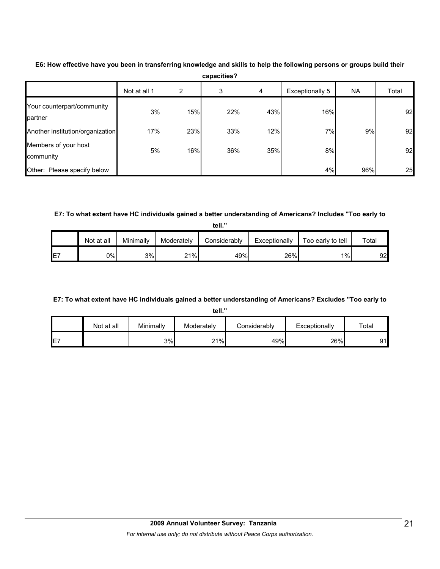|                                       | Not at all 1 | 2   | 3   | 4   | Exceptionally 5 | <b>NA</b> | Total |
|---------------------------------------|--------------|-----|-----|-----|-----------------|-----------|-------|
| Your counterpart/community<br>partner | 3%           | 15% | 22% | 43% | 16%             |           | 92    |
| Another institution/organization      | 17%          | 23% | 33% | 12% | 7%              | 9%        | 92    |
| Members of your host<br>community     | 5%           | 16% | 36% | 35% | 8%              |           | 92    |
| Other: Please specify below           |              |     |     |     | 4%              | 96%       | 25    |

**E6: How effective have you been in transferring knowledge and skills to help the following persons or groups build their capacities?**

#### **E7: To what extent have HC individuals gained a better understanding of Americans? Includes "Too early to**

**tell."**

|    | Not at all | Minimally | Moderately | Considerably | Exceptionally | Too early to tell | Total |
|----|------------|-----------|------------|--------------|---------------|-------------------|-------|
| E7 | 0%         | 3%        | 21%        | 49%          | 26%           | 1%                | 92    |

#### **E7: To what extent have HC individuals gained a better understanding of Americans? Excludes "Too early to**

**tell."**

|     | Not at all | Minimally | Moderately | <b>Considerably</b> | Exceptionally | Total |
|-----|------------|-----------|------------|---------------------|---------------|-------|
| IE7 |            | 3%        | 21%        | 49%                 | 26%           | Q1    |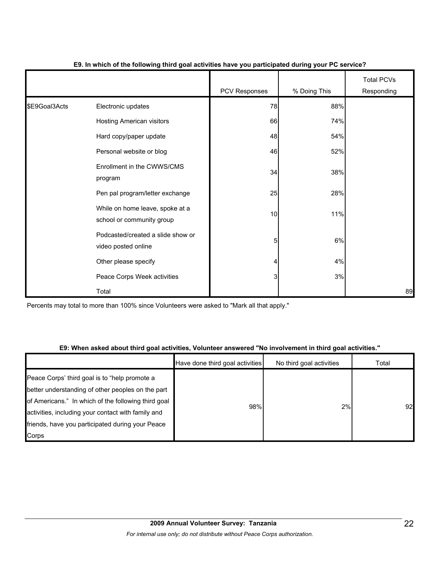|               |                                                              | <b>PCV Responses</b> | % Doing This | <b>Total PCVs</b><br>Responding |
|---------------|--------------------------------------------------------------|----------------------|--------------|---------------------------------|
| \$E9Goal3Acts | Electronic updates                                           | 78                   | 88%          |                                 |
|               | <b>Hosting American visitors</b>                             | 66                   | 74%          |                                 |
|               | Hard copy/paper update                                       | 48                   | 54%          |                                 |
|               | Personal website or blog                                     | 46                   | 52%          |                                 |
|               | Enrollment in the CWWS/CMS<br>program                        | 34                   | 38%          |                                 |
|               | Pen pal program/letter exchange                              | 25                   | 28%          |                                 |
|               | While on home leave, spoke at a<br>school or community group | 10                   | 11%          |                                 |
|               | Podcasted/created a slide show or<br>video posted online     | 5                    | 6%           |                                 |
|               | Other please specify                                         | 4                    | 4%           |                                 |
|               | Peace Corps Week activities                                  | 3                    | 3%           |                                 |
|               | Total                                                        |                      |              | 89                              |

#### **E9. In which of the following third goal activities have you participated during your PC service?**

Percents may total to more than 100% since Volunteers were asked to "Mark all that apply."

#### **E9: When asked about third goal activities, Volunteer answered "No involvement in third goal activities."**

|                                                                                                                                                                                                                                                                              | Have done third goal activities | No third goal activities | Total |
|------------------------------------------------------------------------------------------------------------------------------------------------------------------------------------------------------------------------------------------------------------------------------|---------------------------------|--------------------------|-------|
| Peace Corps' third goal is to "help promote a<br>better understanding of other peoples on the part<br>of Americans." In which of the following third goal<br>activities, including your contact with family and<br>friends, have you participated during your Peace<br>Corps | 98%                             | 2%                       | 92    |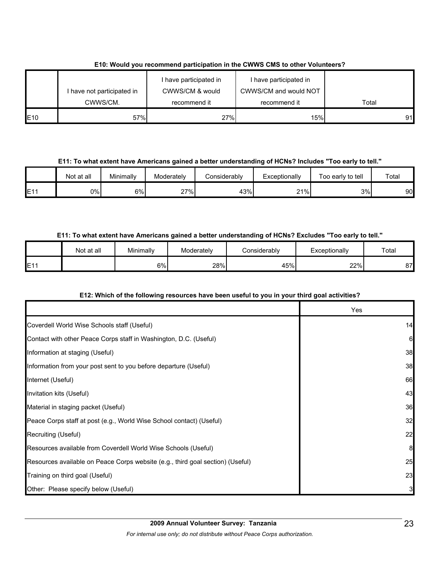|      | I have not participated in | I have participated in<br>CWWS/CM & would | I have participated in<br>CWWS/CM and would NOT |       |
|------|----------------------------|-------------------------------------------|-------------------------------------------------|-------|
|      | CWWS/CM.                   | recommend it                              | recommend it                                    | Total |
| IE10 | 57%                        | 27%                                       | 15%                                             | 91    |

#### **E10: Would you recommend participation in the CWWS CMS to other Volunteers?**

**E11: To what extent have Americans gained a better understanding of HCNs? Includes "Too early to tell."**

|                 | Not at all | Minimally | Moderately       | Considerably | Exceptionally | Too early to tell | Total |
|-----------------|------------|-----------|------------------|--------------|---------------|-------------------|-------|
| E <sub>11</sub> | 0%I        | 6%        | <sup>27%</sup> 1 | 43%          | 21%           | 3%                | 90    |

#### **E11: To what extent have Americans gained a better understanding of HCNs? Excludes "Too early to tell."**

|                          | Not at all | Minimally | Moderately | Considerablyٽ | Exceptionally | Total |
|--------------------------|------------|-----------|------------|---------------|---------------|-------|
| <b>E11</b><br><b>⊢</b> ⊧ |            | 6%        | 28%        | 45%           | 22%           | 87    |

#### **E12: Which of the following resources have been useful to you in your third goal activities?**

|                                                                                | Yes |
|--------------------------------------------------------------------------------|-----|
| Coverdell World Wise Schools staff (Useful)                                    | 14  |
| Contact with other Peace Corps staff in Washington, D.C. (Useful)              | 6   |
| Information at staging (Useful)                                                | 38  |
| Information from your post sent to you before departure (Useful)               | 38  |
| Internet (Useful)                                                              | 66  |
| Invitation kits (Useful)                                                       | 43  |
| Material in staging packet (Useful)                                            | 36  |
| Peace Corps staff at post (e.g., World Wise School contact) (Useful)           | 32  |
| Recruiting (Useful)                                                            | 22  |
| Resources available from Coverdell World Wise Schools (Useful)                 | 8   |
| Resources available on Peace Corps website (e.g., third goal section) (Useful) | 25  |
| Training on third goal (Useful)                                                | 23  |
| Other: Please specify below (Useful)                                           | 3   |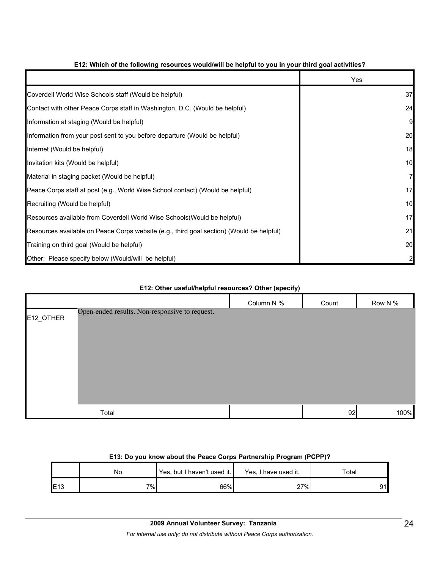|                                                                                          | Yes |
|------------------------------------------------------------------------------------------|-----|
| Coverdell World Wise Schools staff (Would be helpful)                                    | 37  |
| Contact with other Peace Corps staff in Washington, D.C. (Would be helpful)              | 24  |
| Information at staging (Would be helpful)                                                |     |
| Information from your post sent to you before departure (Would be helpful)               | 20  |
| Internet (Would be helpful)                                                              | 18  |
| Invitation kits (Would be helpful)                                                       | 10  |
| Material in staging packet (Would be helpful)                                            | 7   |
| Peace Corps staff at post (e.g., World Wise School contact) (Would be helpful)           | 17  |
| Recruiting (Would be helpful)                                                            | 10  |
| Resources available from Coverdell World Wise Schools (Would be helpful)                 | 17  |
| Resources available on Peace Corps website (e.g., third goal section) (Would be helpful) | 21  |
| Training on third goal (Would be helpful)                                                | 20  |
| Other: Please specify below (Would/will be helpful)                                      |     |

#### **E12: Which of the following resources would/will be helpful to you in your third goal activities?**

# Column N % Count Row N % E12\_OTHER Total 92 100% Open-ended results. Non-responsive to request.

#### **E12: Other useful/helpful resources? Other (specify)**

#### **E13: Do you know about the Peace Corps Partnership Program (PCPP)?**

|     | No  | Yes, but I haven't used it. | Yes, I have used it. | ™otal |
|-----|-----|-----------------------------|----------------------|-------|
| E13 | י ‰ | 66%                         | 27%                  | 91    |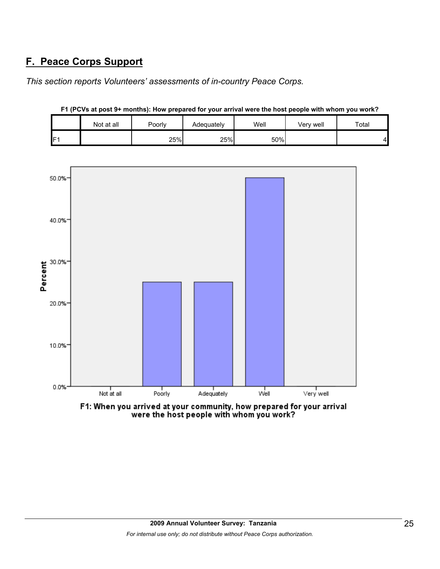# **F. Peace Corps Support**

*This section reports Volunteers' assessments of in-country Peace Corps.* 

|                 | Not at all | Poorly | Adequately | Well | Verv well | Total |
|-----------------|------------|--------|------------|------|-----------|-------|
| IF <sub>1</sub> |            | 25%    | 25%        | 50%  |           | 41    |



**F1 (PCVs at post 9+ months): How prepared for your arrival were the host people with whom you work?**

F1: When you arrived at your community, how prepared for your arrival were the host people with whom you work?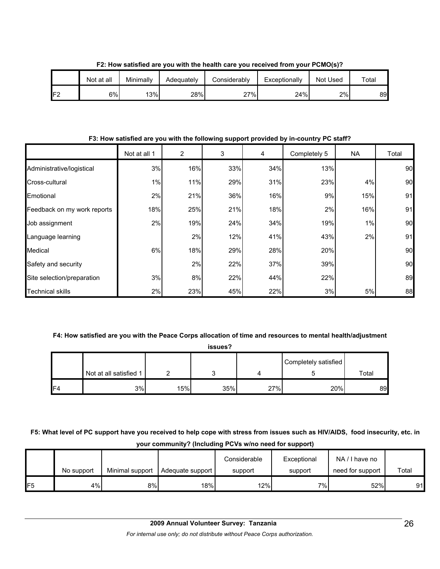|     | Not at all | Minimally | Adequately | Considerably | Exceptionally | Not Used | $\tau$ otal |
|-----|------------|-----------|------------|--------------|---------------|----------|-------------|
| IF2 | 6%         | 13%       | 28%        | 27%          | 24%           | 2%       | 89          |

**F2: How satisfied are you with the health care you received from your PCMO(s)?**

**F3: How satisfied are you with the following support provided by in-country PC staff?**

|                             | Not at all 1 | $\overline{2}$ | 3   | 4   | Completely 5 | NA. | Total |
|-----------------------------|--------------|----------------|-----|-----|--------------|-----|-------|
| Administrative/logistical   | 3%           | 16%            | 33% | 34% | 13%          |     | 90    |
| Cross-cultural              | 1%           | 11%            | 29% | 31% | 23%          | 4%  | 90    |
| Emotional                   | 2%           | 21%            | 36% | 16% | 9%           | 15% | 91    |
| Feedback on my work reports | 18%          | 25%            | 21% | 18% | 2%           | 16% | 91    |
| Job assignment              | 2%           | 19%            | 24% | 34% | 19%          | 1%  | 90    |
| Language learning           |              | 2%             | 12% | 41% | 43%          | 2%  | 91    |
| Medical                     | 6%           | 18%            | 29% | 28% | 20%          |     | 90    |
| Safety and security         |              | 2%             | 22% | 37% | 39%          |     | 90    |
| Site selection/preparation  | 3%           | 8%             | 22% | 44% | 22%          |     | 89    |
| <b>Technical skills</b>     | 2%           | 23%            | 45% | 22% | 3%           | 5%  | 88    |

#### **F4: How satisfied are you with the Peace Corps allocation of time and resources to mental health/adjustment**

**issues?**

|                 |                        |     |     |     | Completely satisfied |       |
|-----------------|------------------------|-----|-----|-----|----------------------|-------|
|                 | Not at all satisfied 1 |     |     |     |                      | Total |
| IF <sub>4</sub> | 3%                     | 15% | 35% | 27% | 20%                  | 89    |

**F5: What level of PC support have you received to help cope with stress from issues such as HIV/AIDS, food insecurity, etc. in your community? (Including PCVs w/no need for support)**

|                 | No support | Minimal support | Adequate support | Considerable<br>support | Exceptional<br>support | NA/I have no<br>need for support | Total |
|-----------------|------------|-----------------|------------------|-------------------------|------------------------|----------------------------------|-------|
| IF <sub>5</sub> | 4%         | 8%              | 18%              | 12%                     | 7%I                    | 52%                              | 91    |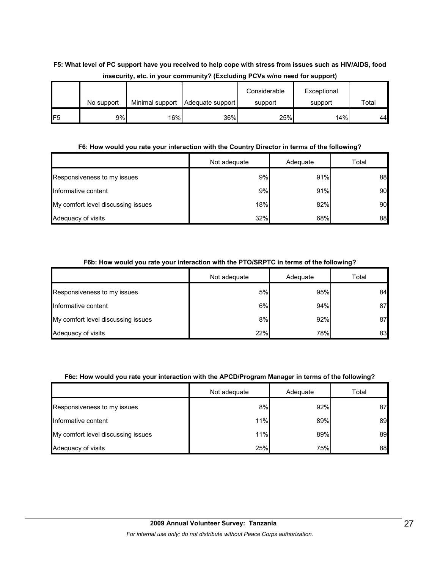#### **F5: What level of PC support have you received to help cope with stress from issues such as HIV/AIDS, food insecurity, etc. in your community? (Excluding PCVs w/no need for support)**

|                 |            |                 |                  | Considerable | Exceptional |       |
|-----------------|------------|-----------------|------------------|--------------|-------------|-------|
|                 | No support | Minimal support | Adequate support | support      | support     | Total |
| IF <sub>5</sub> | 9%l        | 16%             | 36%              | 25%          | 14%         | 44    |

#### **F6: How would you rate your interaction with the Country Director in terms of the following?**

|                                    | Not adequate | Adequate | Total |
|------------------------------------|--------------|----------|-------|
| Responsiveness to my issues        | 9%           | 91%      | 88    |
| Informative content                | 9%           | 91%      | 90    |
| My comfort level discussing issues | 18%          | 82%      | 90    |
| Adequacy of visits                 | 32%          | 68%      | 88    |

#### **F6b: How would you rate your interaction with the PTO/SRPTC in terms of the following?**

|                                    | Not adequate | Adequate | Total |
|------------------------------------|--------------|----------|-------|
| Responsiveness to my issues        | 5%           | 95%      | 84    |
| Informative content                | 6%           | 94%      | 87    |
| My comfort level discussing issues | 8%           | 92%      | 87    |
| Adequacy of visits                 | 22%          | 78%      | 83    |

#### **F6c: How would you rate your interaction with the APCD/Program Manager in terms of the following?**

|                                    | Not adequate | Adequate | Total |
|------------------------------------|--------------|----------|-------|
| Responsiveness to my issues        | 8%           | 92%      | 87    |
| Informative content                | 11%          | 89%      | 89    |
| My comfort level discussing issues | 11%          | 89%      | 89    |
| Adequacy of visits                 | 25%          | 75%      | 88    |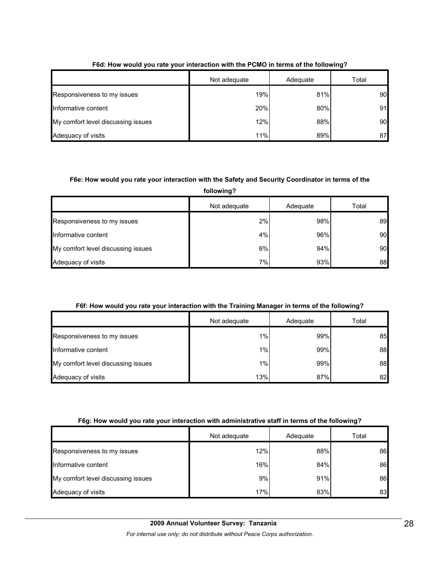|                                    | Not adequate | Adequate | Total |
|------------------------------------|--------------|----------|-------|
| Responsiveness to my issues        | 19%          | 81%      | 90    |
| Informative content                | 20%          | 80%      | 91    |
| My comfort level discussing issues | 12%          | 88%      | 90    |
| Adequacy of visits                 | 11%          | 89%      | 87    |

#### **F6d: How would you rate your interaction with the PCMO in terms of the following?**

#### **F6e: How would you rate your interaction with the Safety and Security Coordinator in terms of the**

**following?**

|                                    | Not adequate | Adequate | Total |
|------------------------------------|--------------|----------|-------|
| Responsiveness to my issues        | 2%           | 98%      | 89    |
| Informative content                | 4%           | 96%      | 90    |
| My comfort level discussing issues | 6%           | 94%      | 90    |
| Adequacy of visits                 | $7\%$        | 93%      | 88    |

#### **F6f: How would you rate your interaction with the Training Manager in terms of the following?**

|                                    | Not adequate | Adequate | Total |
|------------------------------------|--------------|----------|-------|
| Responsiveness to my issues        | $1\%$        | 99%      | 85    |
| Informative content                | 1%           | 99%      | 88    |
| My comfort level discussing issues | 1%           | 99%      | 88    |
| Adequacy of visits                 | 13%          | 87%      | 82    |

#### **F6g: How would you rate your interaction with administrative staff in terms of the following?**

|                                    | Not adequate | Adequate | Total |
|------------------------------------|--------------|----------|-------|
| Responsiveness to my issues        | 12%          | 88%      | 86    |
| Informative content                | 16%          | 84%      | 86    |
| My comfort level discussing issues | 9%           | 91%      | 86    |
| Adequacy of visits                 | 17%          | 83%      | 83    |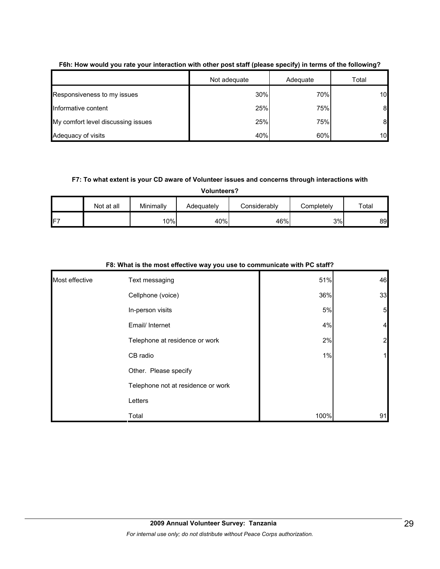|                                    | Not adequate | Adequate | Total |
|------------------------------------|--------------|----------|-------|
| Responsiveness to my issues        | 30%          | 70%      | 10    |
| Informative content                | 25%          | 75%      | 8     |
| My comfort level discussing issues | 25%          | 75%      | 8     |
| Adequacy of visits                 | 40%          | 60%      | 10    |

#### **F6h: How would you rate your interaction with other post staff (please specify) in terms of the following?**

#### **F7: To what extent is your CD aware of Volunteer issues and concerns through interactions with**

**Volunteers?**

|                 | Not at all | Minimally | Adequately | Considerably | Completely | Total |
|-----------------|------------|-----------|------------|--------------|------------|-------|
| IF <sub>7</sub> |            | 10%       | 40%        | 46%          | 3%         | 89    |

|                | ., י                               |      |                |
|----------------|------------------------------------|------|----------------|
| Most effective | Text messaging                     | 51%  | 46             |
|                | Cellphone (voice)                  | 36%  | 33             |
|                | In-person visits                   | 5%   | 5 <sub>l</sub> |
|                | Email/ Internet                    | 4%   | $\overline{4}$ |
|                | Telephone at residence or work     | 2%   | $\overline{a}$ |
|                | CB radio                           | 1%   | 11             |
|                | Other. Please specify              |      |                |
|                | Telephone not at residence or work |      |                |
|                | Letters                            |      |                |
|                | Total                              | 100% | 91             |

#### **F8: What is the most effective way you use to communicate with PC staff?**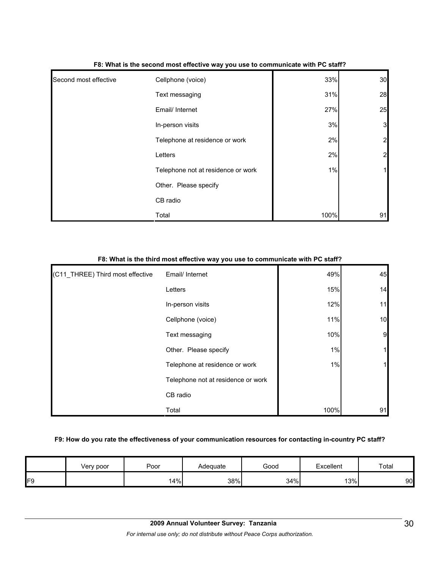| Second most effective | Cellphone (voice)                  | 33%  | 30             |
|-----------------------|------------------------------------|------|----------------|
|                       | Text messaging                     | 31%  | 28             |
|                       | Email/ Internet                    | 27%  | 25             |
|                       | In-person visits                   | 3%   | $\mathbf{3}$   |
|                       | Telephone at residence or work     | 2%   | $\overline{a}$ |
|                       | Letters                            | 2%   | $\overline{a}$ |
|                       | Telephone not at residence or work | 1%   | 1              |
|                       | Other. Please specify              |      |                |
|                       | CB radio                           |      |                |
|                       | Total                              | 100% | 91             |

#### **F8: What is the second most effective way you use to communicate with PC staff?**

#### **F8: What is the third most effective way you use to communicate with PC staff?**

| (C11_THREE) Third most effective | Email/ Internet                    | 49%  | 45 |
|----------------------------------|------------------------------------|------|----|
|                                  | Letters                            | 15%  | 14 |
|                                  | In-person visits                   | 12%  | 11 |
|                                  | Cellphone (voice)                  | 11%  | 10 |
|                                  | Text messaging                     | 10%  | 9  |
|                                  | Other. Please specify              | 1%   |    |
|                                  | Telephone at residence or work     | 1%   |    |
|                                  | Telephone not at residence or work |      |    |
|                                  | CB radio                           |      |    |
|                                  | Total                              | 100% | 91 |

#### **F9: How do you rate the effectiveness of your communication resources for contacting in-country PC staff?**

|     | Very poor | Poor | Adequate | Good | Excellent | Total |
|-----|-----------|------|----------|------|-----------|-------|
| IF9 |           | 14%  | 38%      | 34%  | 13%       | 90    |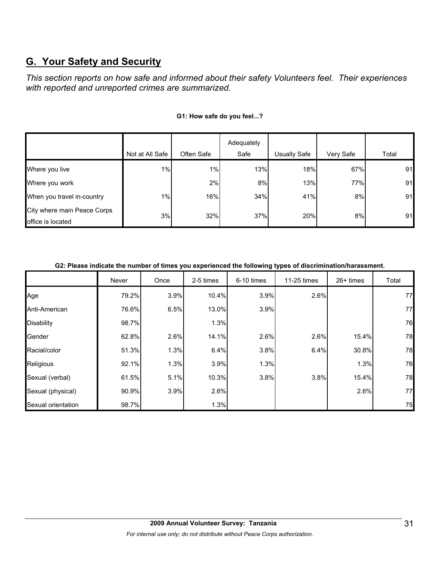# **G. Your Safety and Security**

*This section reports on how safe and informed about their safety Volunteers feel. Their experiences with reported and unreported crimes are summarized.* 

|                                                  |                 |            | Adequately |              |           |       |
|--------------------------------------------------|-----------------|------------|------------|--------------|-----------|-------|
|                                                  | Not at All Safe | Often Safe | Safe       | Usually Safe | Very Safe | Total |
| Where you live                                   | 1%              | 1%         | 13%        | 18%          | 67%       | 91    |
| Where you work                                   |                 | 2%         | 8%         | 13%          | 77%       | 91    |
| When you travel in-country                       | 1%              | 16%        | 34%        | 41%          | 8%        | 91    |
| City where main Peace Corps<br>office is located | 3%              | 32%        | 37%        | 20%          | 8%        | 91    |

#### **G1: How safe do you feel...?**

#### **G2: Please indicate the number of times you experienced the following types of discrimination/harassment.**

|                    | Never | Once | 2-5 times | 6-10 times | 11-25 times | $26+$ times | Total |
|--------------------|-------|------|-----------|------------|-------------|-------------|-------|
| Age                | 79.2% | 3.9% | 10.4%     | 3.9%       | 2.6%        |             | 77    |
| Anti-American      | 76.6% | 6.5% | 13.0%     | 3.9%       |             |             | 77    |
| <b>Disability</b>  | 98.7% |      | 1.3%      |            |             |             | 76    |
| Gender             | 62.8% | 2.6% | 14.1%     | 2.6%       | 2.6%        | 15.4%       | 78    |
| Racial/color       | 51.3% | 1.3% | 6.4%      | 3.8%       | 6.4%        | 30.8%       | 78    |
| Religious          | 92.1% | 1.3% | 3.9%      | 1.3%       |             | 1.3%        | 76    |
| Sexual (verbal)    | 61.5% | 5.1% | 10.3%     | 3.8%       | 3.8%        | 15.4%       | 78    |
| Sexual (physical)  | 90.9% | 3.9% | 2.6%      |            |             | 2.6%        | 77    |
| Sexual orientation | 98.7% |      | 1.3%      |            |             |             | 75    |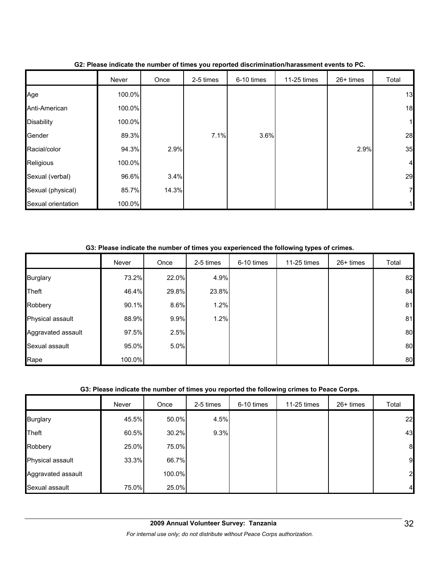|                    | Never  | Once  | 2-5 times | 6-10 times | 11-25 times | 26+ times | Total          |
|--------------------|--------|-------|-----------|------------|-------------|-----------|----------------|
| Age                | 100.0% |       |           |            |             |           | 13             |
| Anti-American      | 100.0% |       |           |            |             |           | 18             |
| <b>Disability</b>  | 100.0% |       |           |            |             |           | 11             |
| Gender             | 89.3%  |       | 7.1%      | 3.6%       |             |           | 28             |
| Racial/color       | 94.3%  | 2.9%  |           |            |             | 2.9%      | 35             |
| Religious          | 100.0% |       |           |            |             |           | $\overline{4}$ |
| Sexual (verbal)    | 96.6%  | 3.4%  |           |            |             |           | 29             |
| Sexual (physical)  | 85.7%  | 14.3% |           |            |             |           | 7              |
| Sexual orientation | 100.0% |       |           |            |             |           |                |

**G2: Please indicate the number of times you reported discrimination/harassment events to PC.**

#### **G3: Please indicate the number of times you experienced the following types of crimes.**

|                    | Never  | Once  | 2-5 times | 6-10 times | 11-25 times | 26+ times | Total |
|--------------------|--------|-------|-----------|------------|-------------|-----------|-------|
| <b>Burglary</b>    | 73.2%  | 22.0% | 4.9%      |            |             |           | 82    |
| <b>Theft</b>       | 46.4%  | 29.8% | 23.8%     |            |             |           | 84    |
| Robbery            | 90.1%  | 8.6%  | 1.2%      |            |             |           | 81    |
| Physical assault   | 88.9%  | 9.9%  | 1.2%      |            |             |           | 81    |
| Aggravated assault | 97.5%  | 2.5%  |           |            |             |           | 80    |
| Sexual assault     | 95.0%  | 5.0%  |           |            |             |           | 80    |
| Rape               | 100.0% |       |           |            |             |           | 80    |

#### **G3: Please indicate the number of times you reported the following crimes to Peace Corps.**

|                    | Never | Once   | 2-5 times | 6-10 times | 11-25 times | 26+ times | Total          |
|--------------------|-------|--------|-----------|------------|-------------|-----------|----------------|
| <b>Burglary</b>    | 45.5% | 50.0%  | 4.5%      |            |             |           | 22             |
| <b>Theft</b>       | 60.5% | 30.2%  | 9.3%      |            |             |           | 43             |
| Robbery            | 25.0% | 75.0%  |           |            |             |           | 8              |
| Physical assault   | 33.3% | 66.7%  |           |            |             |           | 9              |
| Aggravated assault |       | 100.0% |           |            |             |           | 2              |
| Sexual assault     | 75.0% | 25.0%  |           |            |             |           | $\overline{4}$ |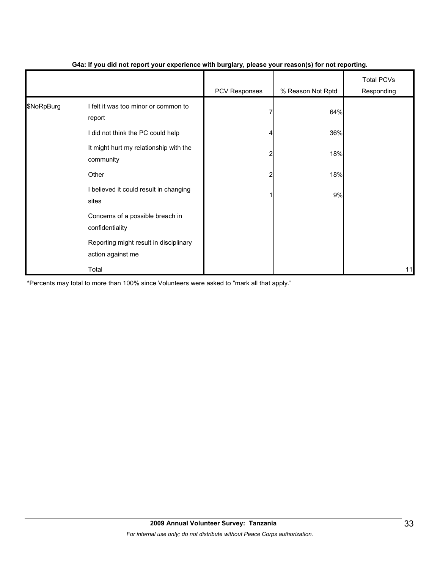|            |                                                             | .             | $\cdot$ $\cdot$   |                                 |
|------------|-------------------------------------------------------------|---------------|-------------------|---------------------------------|
|            |                                                             | PCV Responses | % Reason Not Rptd | <b>Total PCVs</b><br>Responding |
| \$NoRpBurg | I felt it was too minor or common to<br>report              |               | 64%               |                                 |
|            | did not think the PC could help                             |               | 36%               |                                 |
|            | It might hurt my relationship with the<br>community         |               | 18%               |                                 |
|            | Other                                                       |               | 18%               |                                 |
|            | I believed it could result in changing<br>sites             |               | 9%                |                                 |
|            | Concerns of a possible breach in<br>confidentiality         |               |                   |                                 |
|            | Reporting might result in disciplinary<br>action against me |               |                   |                                 |
|            | Total                                                       |               |                   | 11                              |

#### **G4a: If you did not report your experience with burglary, please your reason(s) for not reporting.**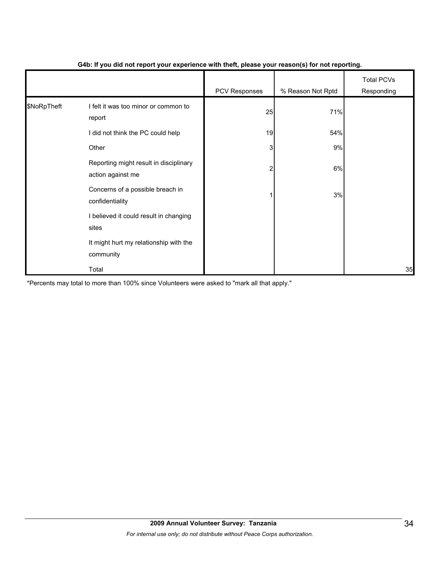|             |                                                             | - 1           | $\mathbf{v}$      |                                 |
|-------------|-------------------------------------------------------------|---------------|-------------------|---------------------------------|
|             |                                                             | PCV Responses | % Reason Not Rptd | <b>Total PCVs</b><br>Responding |
| \$NoRpTheft | I felt it was too minor or common to<br>report              | 25            | 71%               |                                 |
|             | I did not think the PC could help                           | 19            | 54%               |                                 |
|             | Other                                                       | 3             | 9%                |                                 |
|             | Reporting might result in disciplinary<br>action against me | 2             | 6%                |                                 |
|             | Concerns of a possible breach in<br>confidentiality         |               | 3%                |                                 |
|             | I believed it could result in changing<br>sites             |               |                   |                                 |
|             | It might hurt my relationship with the<br>community         |               |                   |                                 |
|             | Total                                                       |               |                   | 35                              |

#### **G4b: If you did not report your experience with theft, please your reason(s) for not reporting.**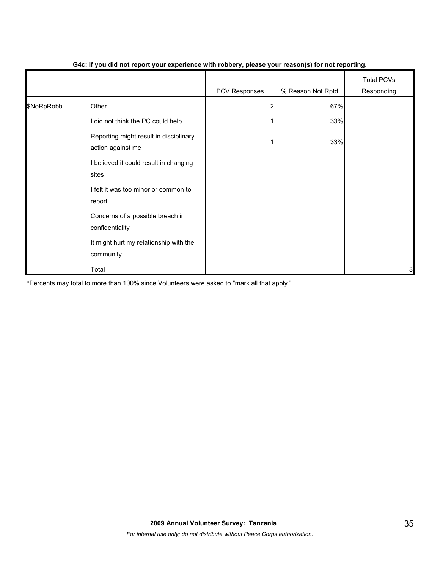|            |                                                             | PCV Responses | % Reason Not Rptd | <b>Total PCVs</b><br>Responding |
|------------|-------------------------------------------------------------|---------------|-------------------|---------------------------------|
| \$NoRpRobb | Other                                                       |               | 67%               |                                 |
|            | I did not think the PC could help                           |               | 33%               |                                 |
|            | Reporting might result in disciplinary<br>action against me |               | 33%               |                                 |
|            | I believed it could result in changing<br>sites             |               |                   |                                 |
|            | I felt it was too minor or common to<br>report              |               |                   |                                 |
|            | Concerns of a possible breach in<br>confidentiality         |               |                   |                                 |
|            | It might hurt my relationship with the<br>community         |               |                   |                                 |
|            | Total                                                       |               |                   | 3                               |

#### **G4c: If you did not report your experience with robbery, please your reason(s) for not reporting.**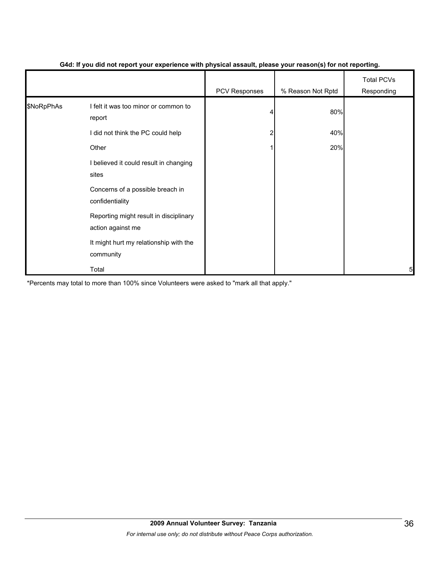|            |                                                             | - 1           | $\mathbf{v}$      |                                 |
|------------|-------------------------------------------------------------|---------------|-------------------|---------------------------------|
|            |                                                             | PCV Responses | % Reason Not Rptd | <b>Total PCVs</b><br>Responding |
| \$NoRpPhAs | I felt it was too minor or common to<br>report              | Δ             | 80%               |                                 |
|            | I did not think the PC could help                           |               | 40%               |                                 |
|            | Other                                                       |               | 20%               |                                 |
|            | I believed it could result in changing<br>sites             |               |                   |                                 |
|            | Concerns of a possible breach in<br>confidentiality         |               |                   |                                 |
|            | Reporting might result in disciplinary<br>action against me |               |                   |                                 |
|            | It might hurt my relationship with the<br>community         |               |                   |                                 |
|            | Total                                                       |               |                   | 5                               |

#### **G4d: If you did not report your experience with physical assault, please your reason(s) for not reporting.**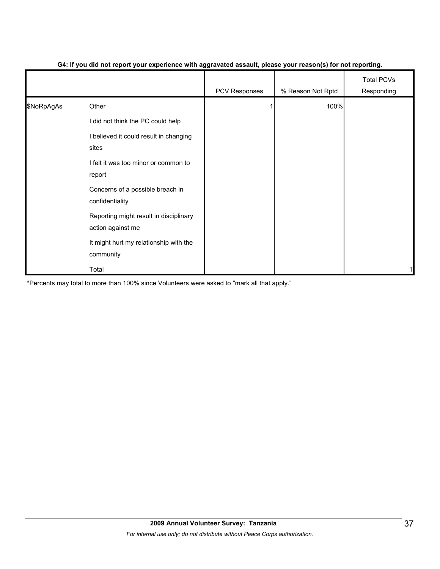|            |                                                             | PCV Responses | % Reason Not Rptd | <b>Total PCVs</b><br>Responding |
|------------|-------------------------------------------------------------|---------------|-------------------|---------------------------------|
| \$NoRpAgAs | Other                                                       |               | 100%              |                                 |
|            | I did not think the PC could help                           |               |                   |                                 |
|            | I believed it could result in changing<br>sites             |               |                   |                                 |
|            | I felt it was too minor or common to<br>report              |               |                   |                                 |
|            | Concerns of a possible breach in<br>confidentiality         |               |                   |                                 |
|            | Reporting might result in disciplinary<br>action against me |               |                   |                                 |
|            | It might hurt my relationship with the<br>community         |               |                   |                                 |
|            | Total                                                       |               |                   |                                 |

#### **G4: If you did not report your experience with aggravated assault, please your reason(s) for not reporting.**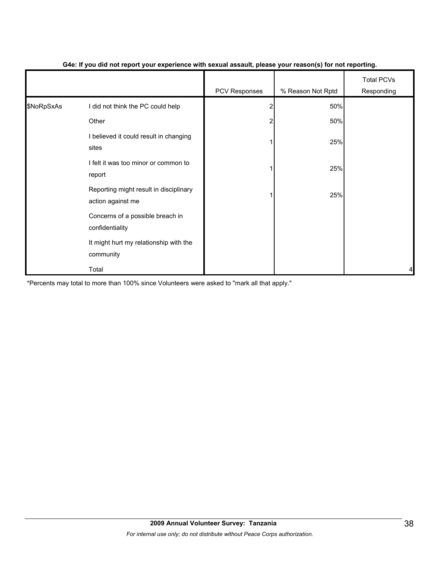|            |                                                             | $\cdot$ .     | $\cdot$           |                                 |
|------------|-------------------------------------------------------------|---------------|-------------------|---------------------------------|
|            |                                                             | PCV Responses | % Reason Not Rptd | <b>Total PCVs</b><br>Responding |
| \$NoRpSxAs | I did not think the PC could help                           |               | 50%               |                                 |
|            | Other                                                       |               | 50%               |                                 |
|            | I believed it could result in changing<br>sites             |               | 25%               |                                 |
|            | I felt it was too minor or common to<br>report              |               | 25%               |                                 |
|            | Reporting might result in disciplinary<br>action against me |               | 25%               |                                 |
|            | Concerns of a possible breach in<br>confidentiality         |               |                   |                                 |
|            | It might hurt my relationship with the<br>community         |               |                   |                                 |
|            | Total                                                       |               |                   | 4                               |

#### **G4e: If you did not report your experience with sexual assault, please your reason(s) for not reporting.**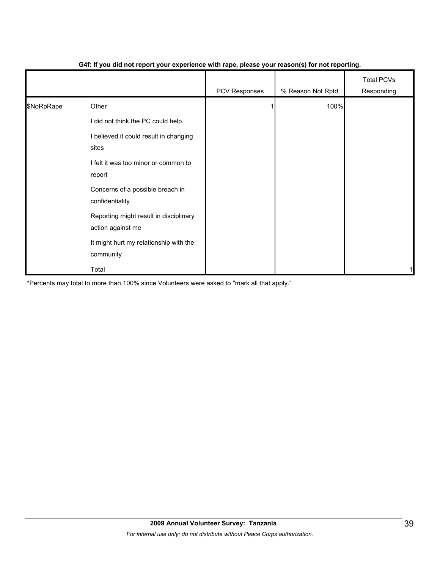|            |                                                             | $\blacksquare$ | $\mathbf{v}$      |                                 |
|------------|-------------------------------------------------------------|----------------|-------------------|---------------------------------|
|            |                                                             | PCV Responses  | % Reason Not Rptd | <b>Total PCVs</b><br>Responding |
| \$NoRpRape | Other                                                       |                | 100%              |                                 |
|            | I did not think the PC could help                           |                |                   |                                 |
|            | I believed it could result in changing<br>sites             |                |                   |                                 |
|            | I felt it was too minor or common to<br>report              |                |                   |                                 |
|            | Concerns of a possible breach in<br>confidentiality         |                |                   |                                 |
|            | Reporting might result in disciplinary<br>action against me |                |                   |                                 |
|            | It might hurt my relationship with the<br>community         |                |                   |                                 |
|            | Total                                                       |                |                   | 1                               |

#### **G4f: If you did not report your experience with rape, please your reason(s) for not reporting.**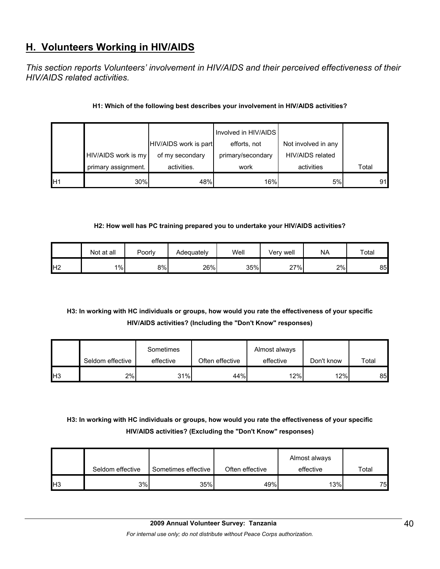# **H. Volunteers Working in HIV/AIDS**

*This section reports Volunteers' involvement in HIV/AIDS and their perceived effectiveness of their HIV/AIDS related activities.* 

#### **H1: Which of the following best describes your involvement in HIV/AIDS activities?**

|    |                     |                       | Involved in HIV/AIDS |                     |       |
|----|---------------------|-----------------------|----------------------|---------------------|-------|
|    |                     | HIV/AIDS work is part | efforts, not         | Not involved in any |       |
|    | HIV/AIDS work is my | of my secondary       | primary/secondary    | HIV/AIDS related    |       |
|    | primary assignment. | activities.           | work                 | activities          | Total |
| H1 | 30%                 | 48%                   | 16%                  | 5%                  | 91    |

#### **H2: How well has PC training prepared you to undertake your HIV/AIDS activities?**

|                | Not at all | Poorly | Adequately | Well | Very well | <b>NA</b> | Total |
|----------------|------------|--------|------------|------|-----------|-----------|-------|
| H <sub>2</sub> | $1\%$      | 8%l    | 26%        | 35%  | 27%       | 2%        | 85    |

#### **H3: In working with HC individuals or groups, how would you rate the effectiveness of your specific HIV/AIDS activities? (Including the "Don't Know" responses)**

|                 |                  | Sometimes |                 | Almost always |            |       |
|-----------------|------------------|-----------|-----------------|---------------|------------|-------|
|                 | Seldom effective | effective | Often effective | effective     | Don't know | Total |
| IH <sub>3</sub> | 2%               | 31%       | 44%             | 12%           | 12%        | 85    |

#### **H3: In working with HC individuals or groups, how would you rate the effectiveness of your specific HIV/AIDS activities? (Excluding the "Don't Know" responses)**

|            | Seldom effective | Sometimes effective | Often effective | Almost always<br>effective | $\tau$ otal |
|------------|------------------|---------------------|-----------------|----------------------------|-------------|
| <b>IH3</b> | 3%               | 35%                 | 49%             | 13%                        | 75          |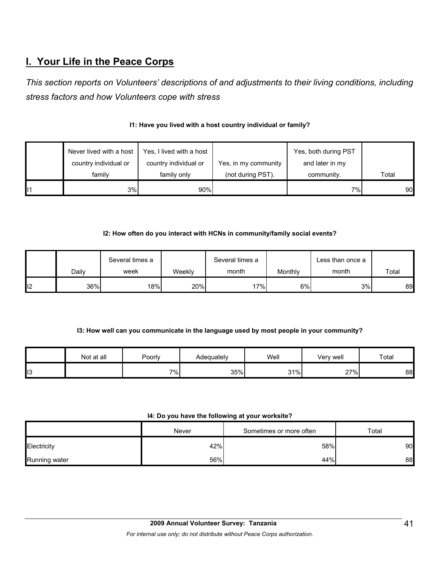# **I. Your Life in the Peace Corps**

*This section reports on Volunteers' descriptions of and adjustments to their living conditions, including stress factors and how Volunteers cope with stress* 

|    | Never lived with a host | Yes, I lived with a host |                      | Yes, both during PST |       |
|----|-------------------------|--------------------------|----------------------|----------------------|-------|
|    | country individual or   | country individual or    | Yes, in my community | and later in my      |       |
|    | family                  | family only              | (not during PST).    | community.           | Total |
| 11 | 3%                      | 90%                      |                      | 7%                   | 90    |

#### **I1: Have you lived with a host country individual or family?**

#### **I2: How often do you interact with HCNs in community/family social events?**

|    | Dailv | Several times a<br>week | Weeklv | Several times a<br>month | Monthly | Less than once a<br>month | Total |
|----|-------|-------------------------|--------|--------------------------|---------|---------------------------|-------|
| 12 | 36%   | 18%                     | 20%    | ו%17                     | 6%      | 3%                        | 89    |

#### **I3: How well can you communicate in the language used by most people in your community?**

|     | Not at all | Poorly | Adequately | Well | Very well | Total |
|-----|------------|--------|------------|------|-----------|-------|
| ll3 |            | $7\%$  | 35%        | 31%  | 27%       | 88    |

#### **I4: Do you have the following at your worksite?**

|                      | Never | Sometimes or more often | Total |
|----------------------|-------|-------------------------|-------|
| Electricity          | 42%   | 58%                     | 90    |
| <b>Running water</b> | 56%   | 44%                     | 88    |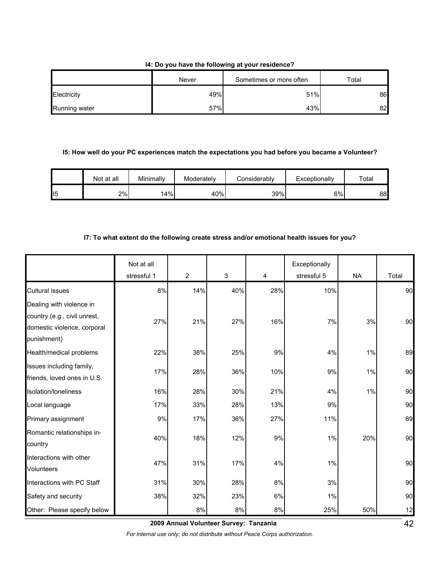#### **I4: Do you have the following at your residence?**

|               | Never | Sometimes or more often | $\tau$ otal |
|---------------|-------|-------------------------|-------------|
| Electricity   | 49%   | 51%                     | 86          |
| Running water | 57%   | 43%                     | 82          |

#### **I5: How well do your PC experiences match the expectations you had before you became a Volunteer?**

|    | Not at all | Minimally | Moderately | Considerablv | Exceptionally | Total |
|----|------------|-----------|------------|--------------|---------------|-------|
| 15 | 2%         | 14%       | 40%        | 39%          | 6%            | 88    |

#### **I7: To what extent do the following create stress and/or emotional health issues for you?**

|                                                                                                        | Not at all  |                |             |     | Exceptionally |           |       |
|--------------------------------------------------------------------------------------------------------|-------------|----------------|-------------|-----|---------------|-----------|-------|
|                                                                                                        | stressful 1 | $\overline{c}$ | $\mathsf 3$ | 4   | stressful 5   | <b>NA</b> | Total |
| <b>Cultural issues</b>                                                                                 | 8%          | 14%            | 40%         | 28% | 10%           |           | 90    |
| Dealing with violence in<br>country (e.g., civil unrest,<br>domestic violence, corporal<br>punishment) | 27%         | 21%            | 27%         | 16% | 7%            | 3%        | 90    |
| Health/medical problems                                                                                | 22%         | 38%            | 25%         | 9%  | 4%            | 1%        | 89    |
| Issues including family,<br>friends, loved ones in U.S.                                                | 17%         | 28%            | 36%         | 10% | 9%            | 1%        | 90    |
| Isolation/loneliness                                                                                   | 16%         | 28%            | 30%         | 21% | 4%            | 1%        | 90    |
| Local language                                                                                         | 17%         | 33%            | 28%         | 13% | 9%            |           | 90    |
| Primary assignment                                                                                     | 9%          | 17%            | 36%         | 27% | 11%           |           | 89    |
| Romantic relationships in-<br>country                                                                  | 40%         | 18%            | 12%         | 9%  | 1%            | 20%       | 90    |
| Interactions with other<br><b>Volunteers</b>                                                           | 47%         | 31%            | 17%         | 4%  | 1%            |           | 90    |
| Interactions with PC Staff                                                                             | 31%         | 30%            | 28%         | 8%  | 3%            |           | 90    |
| Safety and security                                                                                    | 38%         | 32%            | 23%         | 6%  | 1%            |           | 90    |
| Other: Please specify below                                                                            |             | 8%             | 8%          | 8%  | 25%           | 50%       | 12    |

**2009 Annual Volunteer Survey: Tanzania** 

*For internal use only; do not distribute without Peace Corps authorization.*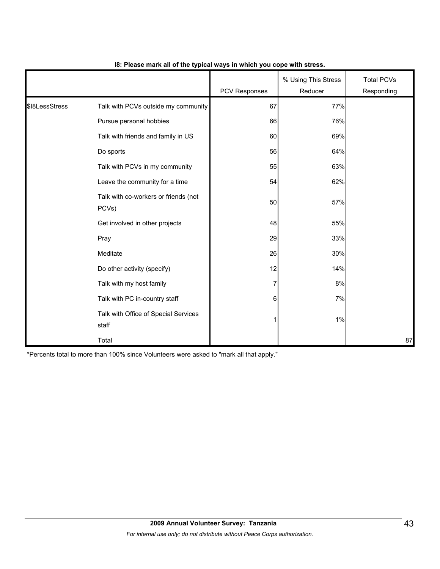|                |                                               | <b>PCV Responses</b> | % Using This Stress<br>Reducer | <b>Total PCVs</b><br>Responding |
|----------------|-----------------------------------------------|----------------------|--------------------------------|---------------------------------|
| \$18LessStress | Talk with PCVs outside my community           | 67                   | 77%                            |                                 |
|                | Pursue personal hobbies                       | 66                   | 76%                            |                                 |
|                | Talk with friends and family in US            | 60                   | 69%                            |                                 |
|                | Do sports                                     | 56                   | 64%                            |                                 |
|                | Talk with PCVs in my community                | 55                   | 63%                            |                                 |
|                | Leave the community for a time                | 54                   | 62%                            |                                 |
|                | Talk with co-workers or friends (not<br>PCVs) | 50                   | 57%                            |                                 |
|                | Get involved in other projects                | 48                   | 55%                            |                                 |
|                | Pray                                          | 29                   | 33%                            |                                 |
|                | Meditate                                      | 26                   | 30%                            |                                 |
|                | Do other activity (specify)                   | 12                   | 14%                            |                                 |
|                | Talk with my host family                      | 7                    | 8%                             |                                 |
|                | Talk with PC in-country staff                 | 6                    | 7%                             |                                 |
|                | Talk with Office of Special Services<br>staff |                      | 1%                             |                                 |
|                | Total                                         |                      |                                | 87                              |

#### **I8: Please mark all of the typical ways in which you cope with stress.**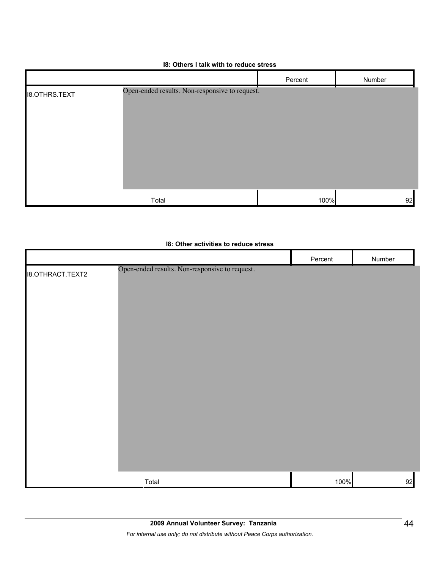#### **I8: Others I talk with to reduce stress**

|                      |                                                | Percent | Number |
|----------------------|------------------------------------------------|---------|--------|
| <b>I8.OTHRS.TEXT</b> | Open-ended results. Non-responsive to request. |         |        |
|                      | Total                                          | 100%    | 92     |

#### **I8: Other activities to reduce stress**

|                         |                                                | Percent | Number |
|-------------------------|------------------------------------------------|---------|--------|
| <b>I8.OTHRACT.TEXT2</b> | Open-ended results. Non-responsive to request. |         |        |
|                         |                                                |         |        |
|                         |                                                |         |        |
|                         |                                                |         |        |
|                         |                                                |         |        |
|                         |                                                |         |        |
|                         |                                                |         |        |
|                         |                                                |         |        |
|                         |                                                |         |        |
|                         |                                                |         |        |
|                         |                                                |         |        |
|                         |                                                |         |        |
|                         |                                                |         |        |
|                         |                                                |         |        |
|                         |                                                |         |        |
|                         |                                                |         |        |
|                         |                                                |         |        |
|                         | Total                                          | 100%    | 92     |
|                         |                                                |         |        |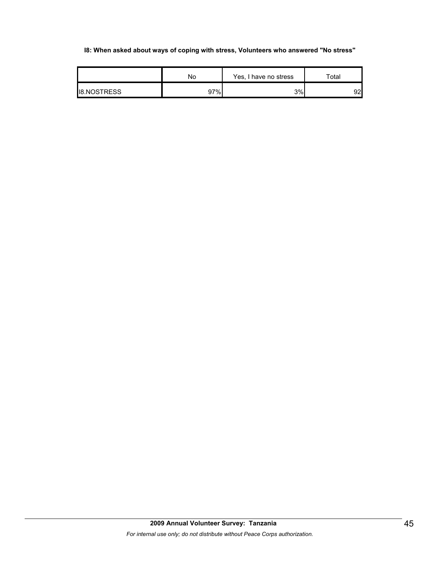#### **I8: When asked about ways of coping with stress, Volunteers who answered "No stress"**

|                    | No  | Yes, I have no stress | $\tau$ otal     |
|--------------------|-----|-----------------------|-----------------|
| <b>IB.NOSTRESS</b> | 97% | 3%                    | 92 <sup>1</sup> |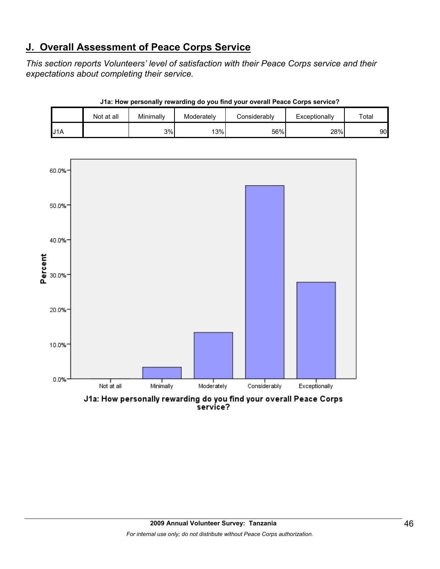# **J. Overall Assessment of Peace Corps Service**

*This section reports Volunteers' level of satisfaction with their Peace Corps service and their expectations about completing their service.* 

|     | Not at all | Minimally | Moderately | Considerablv | Exceptionally | $\tau$ otal |
|-----|------------|-----------|------------|--------------|---------------|-------------|
| J1A |            | 3%        | 13%        | 56%          | 28%           | 90          |





service?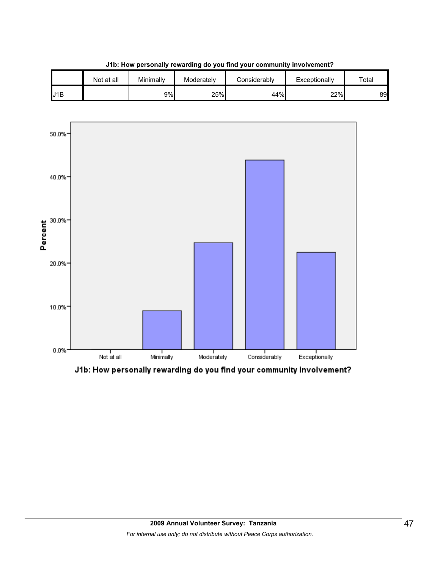





J1b: How personally rewarding do you find your community involvement?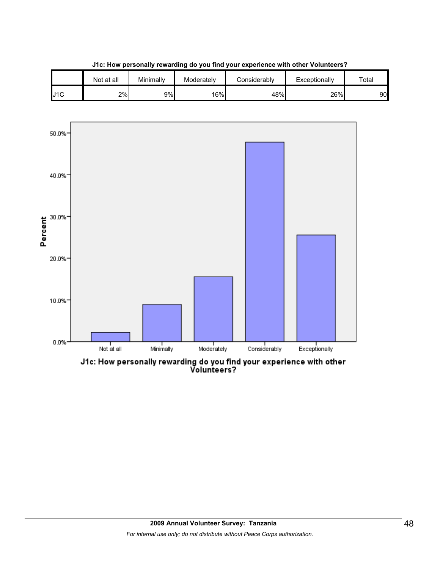

**J1c: How personally rewarding do you find your experience with other Volunteers?**



J1c: How personally rewarding do you find your experience with other<br>Volunteers?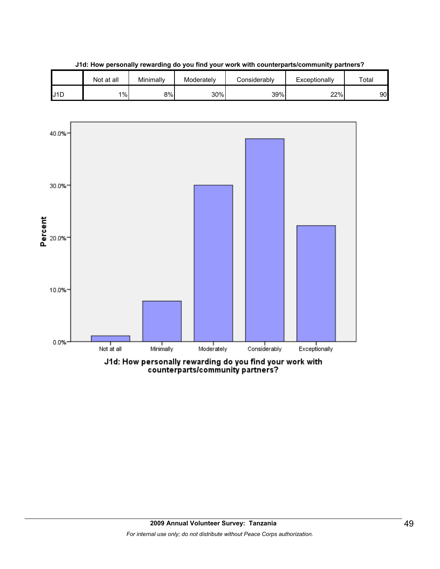



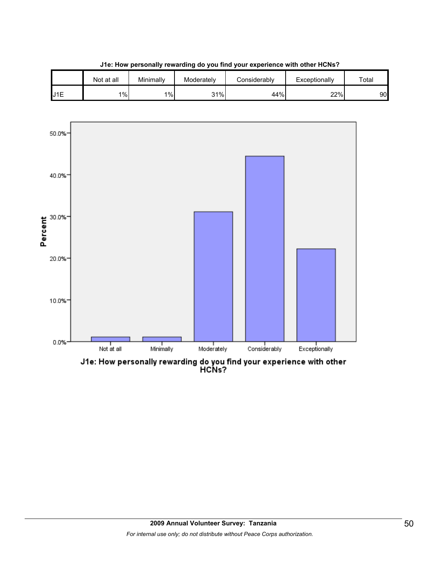

**J1e: How personally rewarding do you find your experience with other HCNs?**

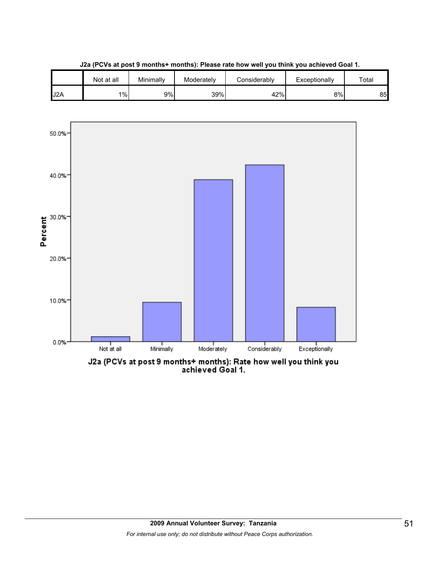

**J2a (PCVs at post 9 months+ months): Please rate how well you think you achieved Goal 1.**

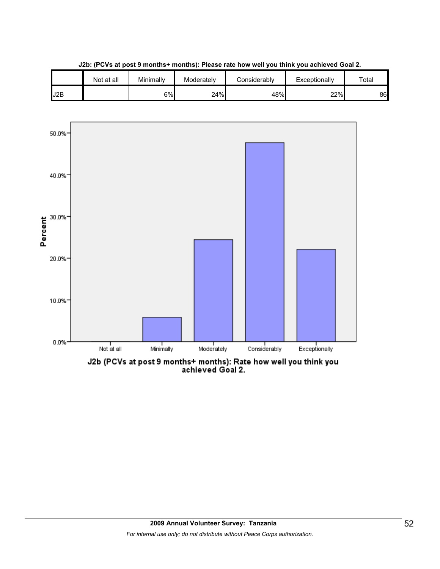

**J2b: (PCVs at post 9 months+ months): Please rate how well you think you achieved Goal 2.**



J2b (PCVs at post 9 months+ months): Rate how well you think you<br>achieved Goal 2.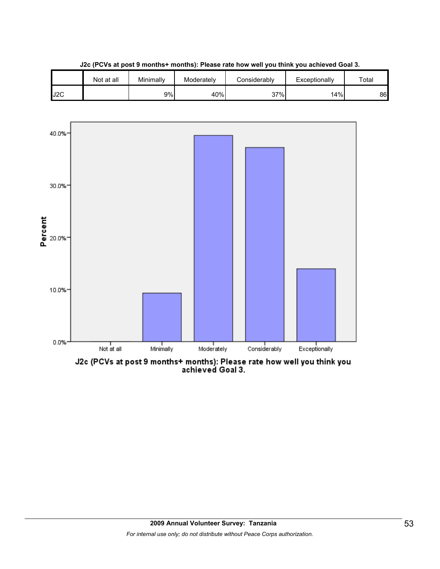

**J2c (PCVs at post 9 months+ months): Please rate how well you think you achieved Goal 3.**



J2c (PCVs at post 9 months+ months): Please rate how well you think you<br>achieved Goal 3.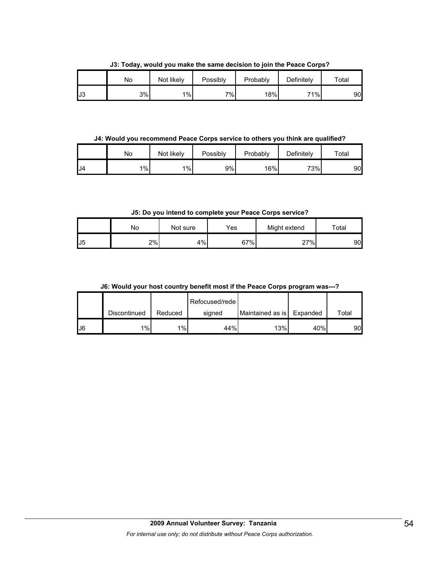No | Not likely | Possibly | Probably | Definitely | Total J3 3% 1% 7% 18% 71% 90

**J3: Today, would you make the same decision to join the Peace Corps?**

**J4: Would you recommend Peace Corps service to others you think are qualified?**

|    | No | Not likely | Possibly | Probably | Definitely | $\tau$ otal |
|----|----|------------|----------|----------|------------|-------------|
| J4 | 1% | 1%         | 9%       | 16%      | 73%        | 90          |

**J5: Do you intend to complete your Peace Corps service?**

|                       | No | Not sure | Yes | Might extend | $\tau$ otal |
|-----------------------|----|----------|-----|--------------|-------------|
| $\overline{ }$<br>IJ5 | 2% | 4%       | 67% | 27%          | 90          |

**J6: Would your host country benefit most if the Peace Corps program was---?**

|     |              |         | Refocused/rede |                  |          |       |
|-----|--------------|---------|----------------|------------------|----------|-------|
|     | Discontinued | Reduced | signed         | Maintained as is | Expanded | Total |
| IJ6 | 1%           | 1%      | 44%            | 13%              | 40%      | 90    |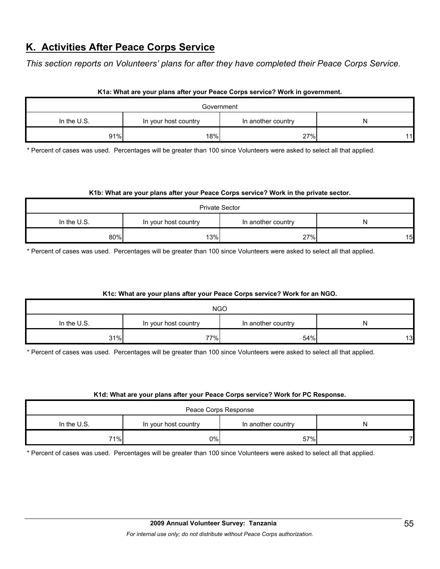# **K. Activities After Peace Corps Service**

*This section reports on Volunteers' plans for after they have completed their Peace Corps Service.* 

|               |                      | Government         |    |
|---------------|----------------------|--------------------|----|
| In the $U.S.$ | In your host country | In another country |    |
| 91%           | 18%                  | 27%                | 11 |

#### **K1a: What are your plans after your Peace Corps service? Work in government.**

\* Percent of cases was used. Percentages will be greater than 100 since Volunteers were asked to select all that applied.

#### **K1b: What are your plans after your Peace Corps service? Work in the private sector.**

| <b>Private Sector</b> |     |     |    |  |  |
|-----------------------|-----|-----|----|--|--|
| In the U.S.           | N   |     |    |  |  |
| 80%                   | 13% | 27% | 15 |  |  |

\* Percent of cases was used. Percentages will be greater than 100 since Volunteers were asked to select all that applied.

#### **K1c: What are your plans after your Peace Corps service? Work for an NGO.**

| <b>NGO</b>  |                      |                    |    |  |  |
|-------------|----------------------|--------------------|----|--|--|
| In the U.S. | In your host country | In another country | N  |  |  |
| 31%         | 77%                  | 54%                | 13 |  |  |

\* Percent of cases was used. Percentages will be greater than 100 since Volunteers were asked to select all that applied.

#### **K1d: What are your plans after your Peace Corps service? Work for PC Response.**

| Peace Corps Response |                      |                    |   |  |  |
|----------------------|----------------------|--------------------|---|--|--|
| In the U.S.          | In your host country | In another country | N |  |  |
| 71%                  | $0\%$                | 57%                |   |  |  |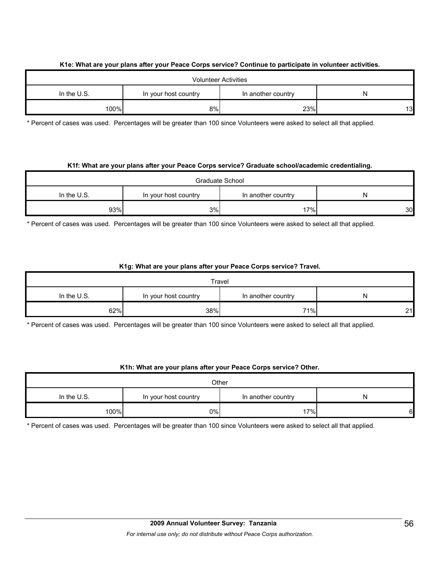#### **K1e: What are your plans after your Peace Corps service? Continue to participate in volunteer activities.**

| <b>Volunteer Activities</b> |    |     |    |  |
|-----------------------------|----|-----|----|--|
| In the $U.S.$               | N  |     |    |  |
| 100%                        | 8% | 23% | 13 |  |

\* Percent of cases was used. Percentages will be greater than 100 since Volunteers were asked to select all that applied.

#### **K1f: What are your plans after your Peace Corps service? Graduate school/academic credentialing.**

| Graduate School |                                            |     |    |  |
|-----------------|--------------------------------------------|-----|----|--|
| In the $U.S.$   | In your host country<br>In another country |     |    |  |
| 93%             | 3%                                         | 17% | 30 |  |

\* Percent of cases was used. Percentages will be greater than 100 since Volunteers were asked to select all that applied.

#### **K1g: What are your plans after your Peace Corps service? Travel.**

| Travel      |                      |                    |    |  |
|-------------|----------------------|--------------------|----|--|
| In the U.S. | In your host country | In another country | N  |  |
| 62%         | 38%                  | 71%                | 21 |  |

\* Percent of cases was used. Percentages will be greater than 100 since Volunteers were asked to select all that applied.

#### **K1h: What are your plans after your Peace Corps service? Other.**

| Other         |                                                 |     |   |
|---------------|-------------------------------------------------|-----|---|
| In the $U.S.$ | In another country<br>In your host country<br>N |     |   |
| 100%          | $0\%$                                           | 17% | 6 |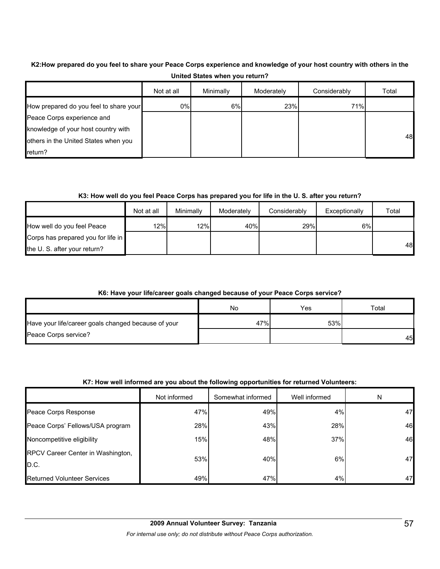#### **K2:How prepared do you feel to share your Peace Corps experience and knowledge of your host country with others in the United States when you return?**

|                                        | Not at all | Minimally | Moderately | Considerably | Total |
|----------------------------------------|------------|-----------|------------|--------------|-------|
| How prepared do you feel to share your | 0%         | 6%        | 23%        | 71%          |       |
| Peace Corps experience and             |            |           |            |              |       |
| knowledge of your host country with    |            |           |            |              |       |
| others in the United States when you   |            |           |            |              | 48    |
| $r$ return?                            |            |           |            |              |       |

#### **K3: How well do you feel Peace Corps has prepared you for life in the U. S. after you return?**

|                                    | Not at all | Minimally | Moderately | Considerably | Exceptionally | Total |
|------------------------------------|------------|-----------|------------|--------------|---------------|-------|
| How well do you feel Peace         | 12%        | 12%       | 40%        | 29%          | 6%            |       |
| Corps has prepared you for life in |            |           |            |              |               |       |
| the U. S. after your return?       |            |           |            |              |               | 48    |

#### **K6: Have your life/career goals changed because of your Peace Corps service?**

|                                                     | No  | Yes | $\tau$ otal |
|-----------------------------------------------------|-----|-----|-------------|
| Have your life/career goals changed because of your | 47% | 53% |             |
| Peace Corps service?                                |     |     | 45          |

#### **K7: How well informed are you about the following opportunities for returned Volunteers:**

|                                           | Not informed | Somewhat informed | Well informed | N  |
|-------------------------------------------|--------------|-------------------|---------------|----|
| Peace Corps Response                      | 47%          | 49%               | 4%            | 47 |
| Peace Corps' Fellows/USA program          | 28%          | 43%               | 28%           | 46 |
| Noncompetitive eligibility                | 15%          | 48%               | 37%           | 46 |
| RPCV Career Center in Washington,<br>D.C. | 53%          | 40%               | 6%            | 47 |
| <b>Returned Volunteer Services</b>        | 49%          | 47%               | 4%            | 47 |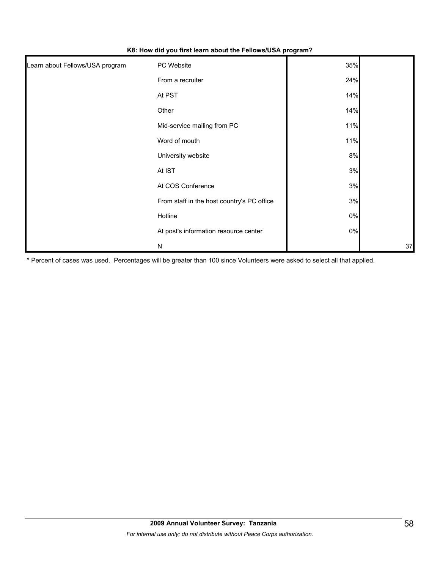| Learn about Fellows/USA program | PC Website                                 | 35%   |    |
|---------------------------------|--------------------------------------------|-------|----|
|                                 | From a recruiter                           | 24%   |    |
|                                 | At PST                                     | 14%   |    |
|                                 | Other                                      | 14%   |    |
|                                 | Mid-service mailing from PC                | 11%   |    |
|                                 | Word of mouth                              | 11%   |    |
|                                 | University website                         | 8%    |    |
|                                 | At IST                                     | 3%    |    |
|                                 | At COS Conference                          | 3%    |    |
|                                 | From staff in the host country's PC office | 3%    |    |
|                                 | Hotline                                    | $0\%$ |    |
|                                 | At post's information resource center      | $0\%$ |    |
|                                 | ${\sf N}$                                  |       | 37 |

**K8: How did you first learn about the Fellows/USA program?**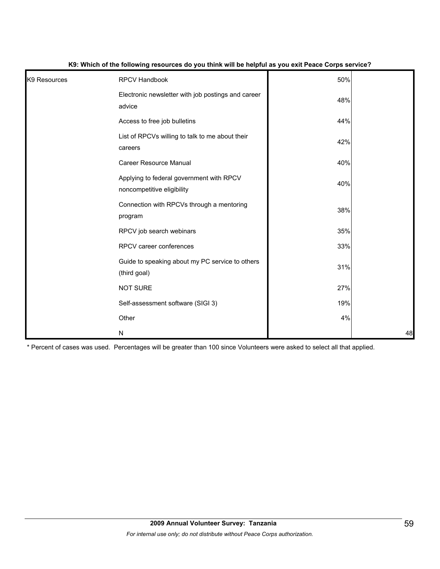| K <sub>9</sub> Resources | <b>RPCV Handbook</b>                                                   | 50% |    |
|--------------------------|------------------------------------------------------------------------|-----|----|
|                          | Electronic newsletter with job postings and career<br>advice           | 48% |    |
|                          | Access to free job bulletins                                           | 44% |    |
|                          | List of RPCVs willing to talk to me about their<br>careers             | 42% |    |
|                          | <b>Career Resource Manual</b>                                          | 40% |    |
|                          | Applying to federal government with RPCV<br>noncompetitive eligibility | 40% |    |
|                          | Connection with RPCVs through a mentoring<br>program                   | 38% |    |
|                          | RPCV job search webinars                                               | 35% |    |
|                          | RPCV career conferences                                                | 33% |    |
|                          | Guide to speaking about my PC service to others<br>(third goal)        | 31% |    |
|                          | <b>NOT SURE</b>                                                        | 27% |    |
|                          | Self-assessment software (SIGI 3)                                      | 19% |    |
|                          | Other                                                                  | 4%  |    |
|                          | ${\sf N}$                                                              |     | 48 |

#### **K9: Which of the following resources do you think will be helpful as you exit Peace Corps service?**